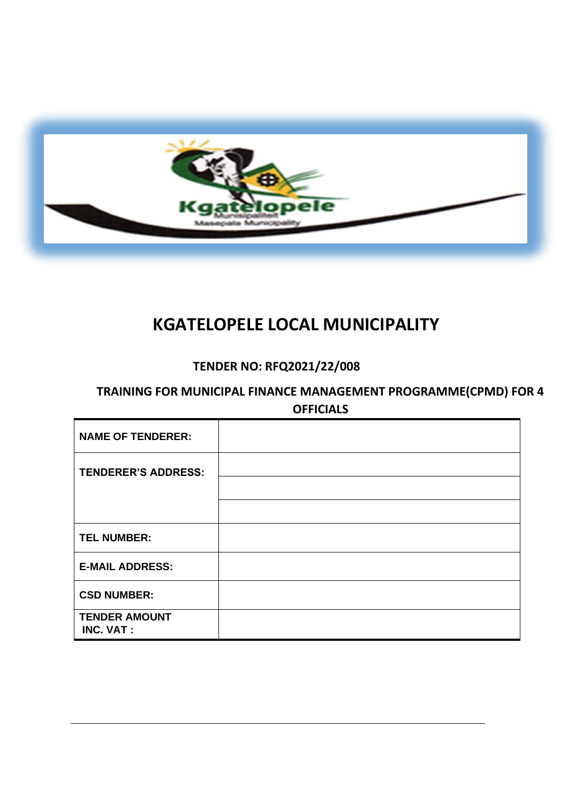

# **KGATELOPELE LOCAL MUNICIPALITY**

# **TENDER NO: RFQ2021/22/008**

# **TRAINING FOR MUNICIPAL FINANCE MANAGEMENT PROGRAMME(CPMD) FOR 4 OFFICIALS**

| <b>NAME OF TENDERER:</b>          |  |
|-----------------------------------|--|
| <b>TENDERER'S ADDRESS:</b>        |  |
|                                   |  |
|                                   |  |
| <b>TEL NUMBER:</b>                |  |
| <b>E-MAIL ADDRESS:</b>            |  |
| <b>CSD NUMBER:</b>                |  |
| <b>TENDER AMOUNT</b><br>INC. VAT: |  |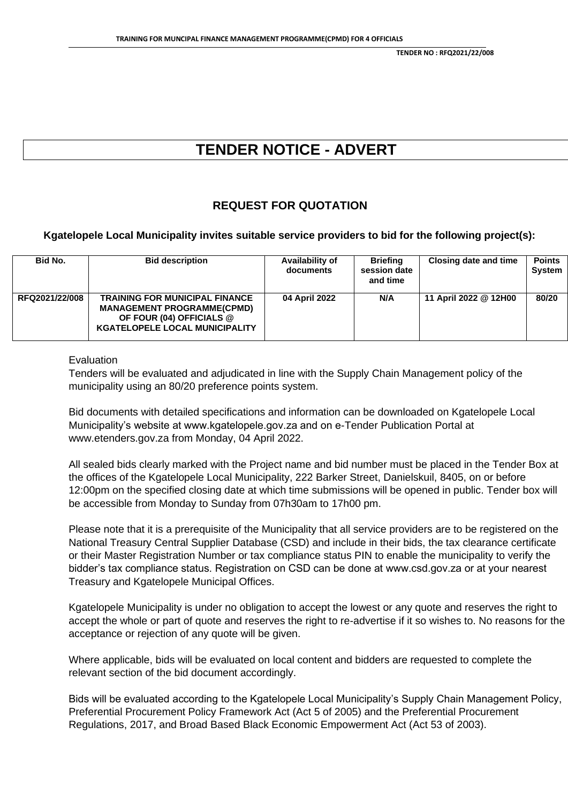# **TENDER NOTICE - ADVERT**

# **REQUEST FOR QUOTATION**

#### **Kgatelopele Local Municipality invites suitable service providers to bid for the following project(s):**

| Bid No.        | <b>Bid description</b>                                                                                                                          | Availability of<br>documents | <b>Briefing</b><br>session date<br>and time | Closing date and time | <b>Points</b><br><b>System</b> |
|----------------|-------------------------------------------------------------------------------------------------------------------------------------------------|------------------------------|---------------------------------------------|-----------------------|--------------------------------|
| RFQ2021/22/008 | <b>TRAINING FOR MUNICIPAL FINANCE</b><br><b>MANAGEMENT PROGRAMME(CPMD)</b><br>OF FOUR (04) OFFICIALS @<br><b>KGATELOPELE LOCAL MUNICIPALITY</b> | 04 April 2022                | N/A                                         | 11 April 2022 @ 12H00 | 80/20                          |

#### Evaluation

Tenders will be evaluated and adjudicated in line with the Supply Chain Management policy of the municipality using an 80/20 preference points system.

Bid documents with detailed specifications and information can be downloaded on Kgatelopele Local Municipality's website at www.kgatelopele.gov.za and on e-Tender Publication Portal at www.etenders.gov.za from Monday, 04 April 2022.

All sealed bids clearly marked with the Project name and bid number must be placed in the Tender Box at the offices of the Kgatelopele Local Municipality, 222 Barker Street, Danielskuil, 8405, on or before 12:00pm on the specified closing date at which time submissions will be opened in public. Tender box will be accessible from Monday to Sunday from 07h30am to 17h00 pm.

Please note that it is a prerequisite of the Municipality that all service providers are to be registered on the National Treasury Central Supplier Database (CSD) and include in their bids, the tax clearance certificate or their Master Registration Number or tax compliance status PIN to enable the municipality to verify the bidder's tax compliance status. Registration on CSD can be done at www.csd.gov.za or at your nearest Treasury and Kgatelopele Municipal Offices.

Kgatelopele Municipality is under no obligation to accept the lowest or any quote and reserves the right to accept the whole or part of quote and reserves the right to re-advertise if it so wishes to. No reasons for the acceptance or rejection of any quote will be given.

Where applicable, bids will be evaluated on local content and bidders are requested to complete the relevant section of the bid document accordingly.

Bids will be evaluated according to the Kgatelopele Local Municipality's Supply Chain Management Policy, Preferential Procurement Policy Framework Act (Act 5 of 2005) and the Preferential Procurement Regulations, 2017, and Broad Based Black Economic Empowerment Act (Act 53 of 2003).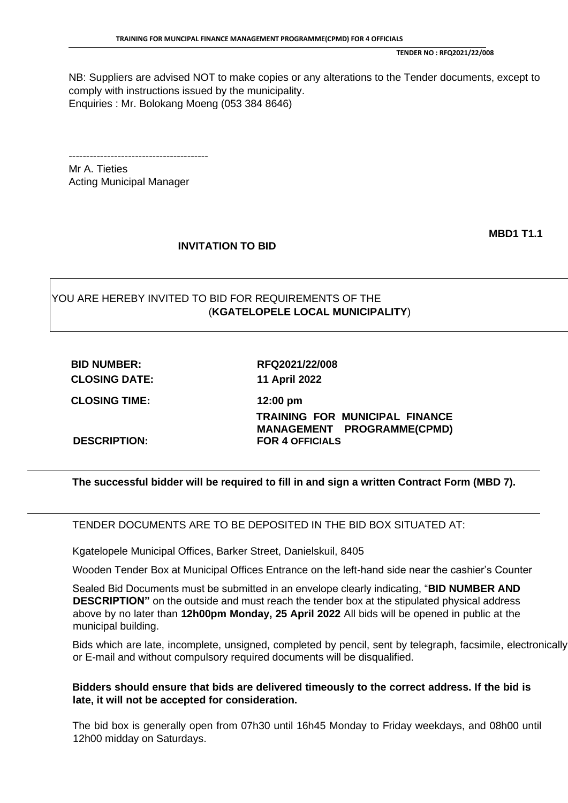**TENDER NO : RFQ2021/22/008**

NB: Suppliers are advised NOT to make copies or any alterations to the Tender documents, except to comply with instructions issued by the municipality. Enquiries : Mr. Bolokang Moeng (053 384 8646)

----------------------------------------

Mr A. Tieties Acting Municipal Manager

**MBD1 T1.1** 

**INVITATION TO BID** 

YOU ARE HEREBY INVITED TO BID FOR REQUIREMENTS OF THE (**KGATELOPELE LOCAL MUNICIPALITY**)

**BID NUMBER: RFQ2021/22/008 CLOSING DATE: 11 April 2022**

**CLOSING TIME: 12:00 pm**

**TRAINING FOR MUNICIPAL FINANCE MANAGEMENT PROGRAMME(CPMD)** 

**DESCRIPTION:** 

**The successful bidder will be required to fill in and sign a written Contract Form (MBD 7).** 

**FOR 4 OFFICIALS**

TENDER DOCUMENTS ARE TO BE DEPOSITED IN THE BID BOX SITUATED AT:

Kgatelopele Municipal Offices, Barker Street, Danielskuil, 8405

Wooden Tender Box at Municipal Offices Entrance on the left-hand side near the cashier's Counter

Sealed Bid Documents must be submitted in an envelope clearly indicating, "**BID NUMBER AND DESCRIPTION"** on the outside and must reach the tender box at the stipulated physical address above by no later than **12h00pm Monday, 25 April 2022** All bids will be opened in public at the municipal building.

Bids which are late, incomplete, unsigned, completed by pencil, sent by telegraph, facsimile, electronically or E-mail and without compulsory required documents will be disqualified.

# **Bidders should ensure that bids are delivered timeously to the correct address. If the bid is late, it will not be accepted for consideration.**

The bid box is generally open from 07h30 until 16h45 Monday to Friday weekdays, and 08h00 until 12h00 midday on Saturdays.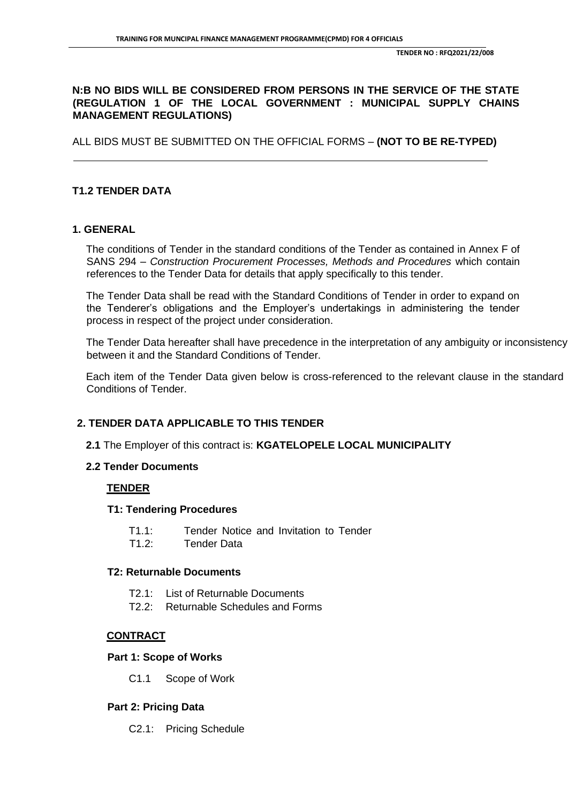### **N:B NO BIDS WILL BE CONSIDERED FROM PERSONS IN THE SERVICE OF THE STATE (REGULATION 1 OF THE LOCAL GOVERNMENT : MUNICIPAL SUPPLY CHAINS MANAGEMENT REGULATIONS)**

ALL BIDS MUST BE SUBMITTED ON THE OFFICIAL FORMS – **(NOT TO BE RE-TYPED)** 

# **T1.2 TENDER DATA**

# **1. GENERAL**

The conditions of Tender in the standard conditions of the Tender as contained in Annex F of SANS 294 – *Construction Procurement Processes, Methods and Procedures* which contain references to the Tender Data for details that apply specifically to this tender.

The Tender Data shall be read with the Standard Conditions of Tender in order to expand on the Tenderer's obligations and the Employer's undertakings in administering the tender process in respect of the project under consideration.

The Tender Data hereafter shall have precedence in the interpretation of any ambiguity or inconsistency between it and the Standard Conditions of Tender.

Each item of the Tender Data given below is cross-referenced to the relevant clause in the standard Conditions of Tender.

# **2. TENDER DATA APPLICABLE TO THIS TENDER**

**2.1** The Employer of this contract is: **KGATELOPELE LOCAL MUNICIPALITY** 

#### **2.2 Tender Documents**

# **TENDER**

#### **T1: Tendering Procedures**

- T1.1: Tender Notice and Invitation to Tender
- T1.2: Tender Data

### **T2: Returnable Documents**

- T2.1: List of Returnable Documents
- T2.2: Returnable Schedules and Forms

# **CONTRACT**

#### **Part 1: Scope of Works**

C1.1 Scope of Work

#### **Part 2: Pricing Data**

C2.1: Pricing Schedule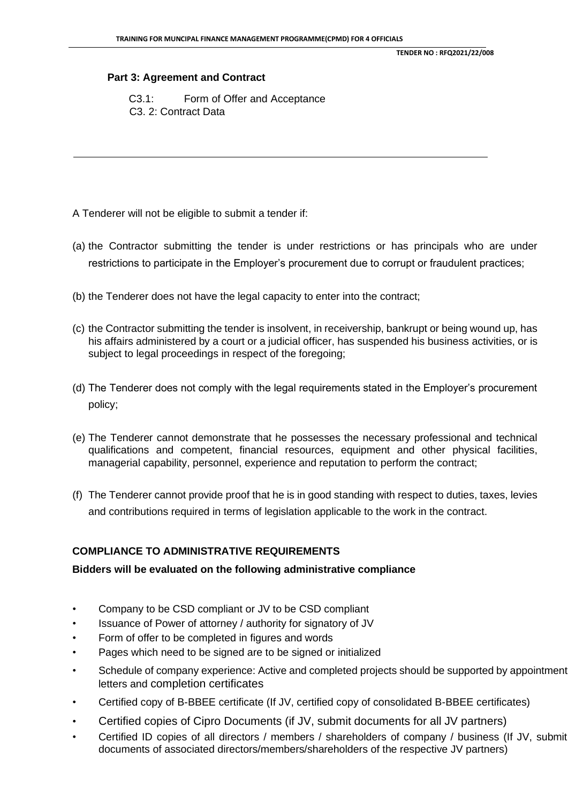# **Part 3: Agreement and Contract**

C3.1: Form of Offer and Acceptance C3. 2: Contract Data

A Tenderer will not be eligible to submit a tender if:

- (a) the Contractor submitting the tender is under restrictions or has principals who are under restrictions to participate in the Employer's procurement due to corrupt or fraudulent practices;
- (b) the Tenderer does not have the legal capacity to enter into the contract;
- (c) the Contractor submitting the tender is insolvent, in receivership, bankrupt or being wound up, has his affairs administered by a court or a judicial officer, has suspended his business activities, or is subject to legal proceedings in respect of the foregoing;
- (d) The Tenderer does not comply with the legal requirements stated in the Employer's procurement policy;
- (e) The Tenderer cannot demonstrate that he possesses the necessary professional and technical qualifications and competent, financial resources, equipment and other physical facilities, managerial capability, personnel, experience and reputation to perform the contract;
- (f) The Tenderer cannot provide proof that he is in good standing with respect to duties, taxes, levies and contributions required in terms of legislation applicable to the work in the contract.

# **COMPLIANCE TO ADMINISTRATIVE REQUIREMENTS**

# **Bidders will be evaluated on the following administrative compliance**

- Company to be CSD compliant or JV to be CSD compliant
- Issuance of Power of attorney / authority for signatory of JV
- Form of offer to be completed in figures and words
- Pages which need to be signed are to be signed or initialized
- Schedule of company experience: Active and completed projects should be supported by appointment letters and completion certificates
- Certified copy of B-BBEE certificate (If JV, certified copy of consolidated B-BBEE certificates)
- Certified copies of Cipro Documents (if JV, submit documents for all JV partners)
- Certified ID copies of all directors / members / shareholders of company / business (If JV, submit documents of associated directors/members/shareholders of the respective JV partners)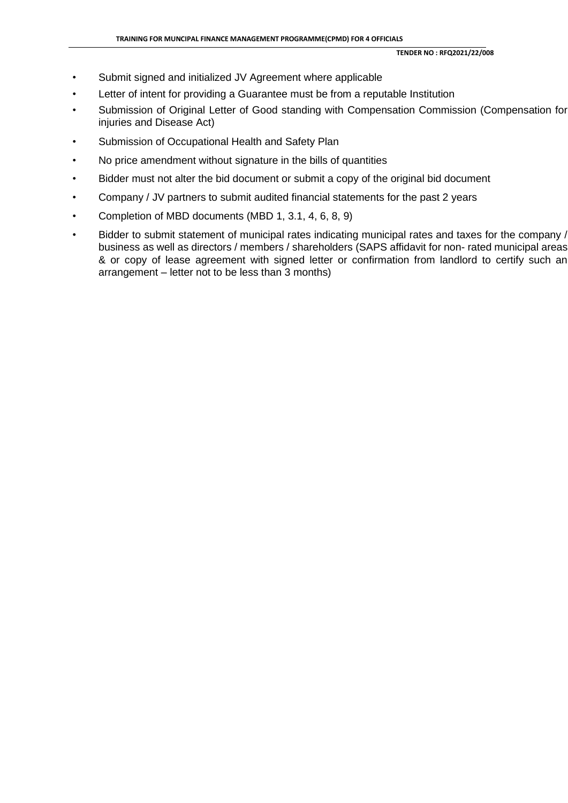**TENDER NO : RFQ2021/22/008**

- Submit signed and initialized JV Agreement where applicable
- Letter of intent for providing a Guarantee must be from a reputable Institution
- Submission of Original Letter of Good standing with Compensation Commission (Compensation for injuries and Disease Act)
- Submission of Occupational Health and Safety Plan
- No price amendment without signature in the bills of quantities
- Bidder must not alter the bid document or submit a copy of the original bid document
- Company / JV partners to submit audited financial statements for the past 2 years
- Completion of MBD documents (MBD 1, 3.1, 4, 6, 8, 9)
- Bidder to submit statement of municipal rates indicating municipal rates and taxes for the company / business as well as directors / members / shareholders (SAPS affidavit for non- rated municipal areas & or copy of lease agreement with signed letter or confirmation from landlord to certify such an arrangement – letter not to be less than 3 months)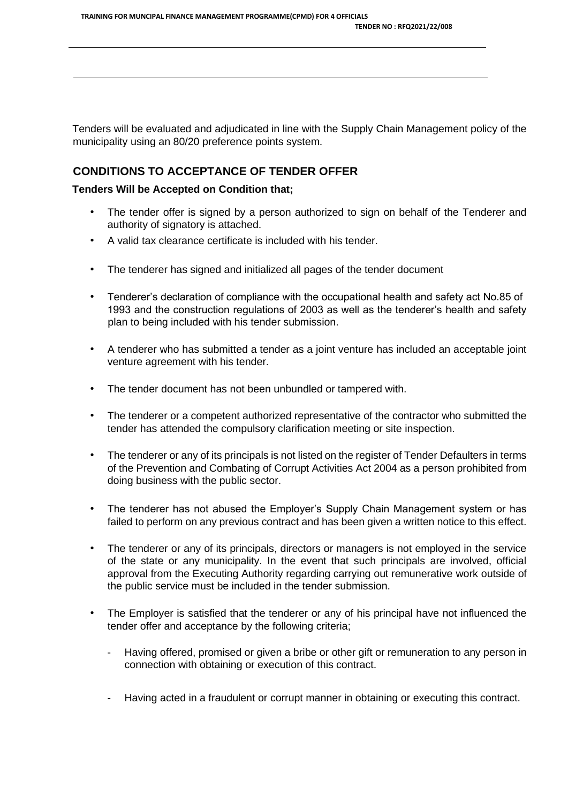Tenders will be evaluated and adjudicated in line with the Supply Chain Management policy of the municipality using an 80/20 preference points system.

# **CONDITIONS TO ACCEPTANCE OF TENDER OFFER**

### **Tenders Will be Accepted on Condition that;**

- The tender offer is signed by a person authorized to sign on behalf of the Tenderer and authority of signatory is attached.
- A valid tax clearance certificate is included with his tender.
- The tenderer has signed and initialized all pages of the tender document
- Tenderer's declaration of compliance with the occupational health and safety act No.85 of 1993 and the construction regulations of 2003 as well as the tenderer's health and safety plan to being included with his tender submission.
- A tenderer who has submitted a tender as a joint venture has included an acceptable joint venture agreement with his tender.
- The tender document has not been unbundled or tampered with.
- The tenderer or a competent authorized representative of the contractor who submitted the tender has attended the compulsory clarification meeting or site inspection.
- The tenderer or any of its principals is not listed on the register of Tender Defaulters in terms of the Prevention and Combating of Corrupt Activities Act 2004 as a person prohibited from doing business with the public sector.
- The tenderer has not abused the Employer's Supply Chain Management system or has failed to perform on any previous contract and has been given a written notice to this effect.
- The tenderer or any of its principals, directors or managers is not employed in the service of the state or any municipality. In the event that such principals are involved, official approval from the Executing Authority regarding carrying out remunerative work outside of the public service must be included in the tender submission.
- The Employer is satisfied that the tenderer or any of his principal have not influenced the tender offer and acceptance by the following criteria;
	- Having offered, promised or given a bribe or other gift or remuneration to any person in connection with obtaining or execution of this contract.
	- Having acted in a fraudulent or corrupt manner in obtaining or executing this contract.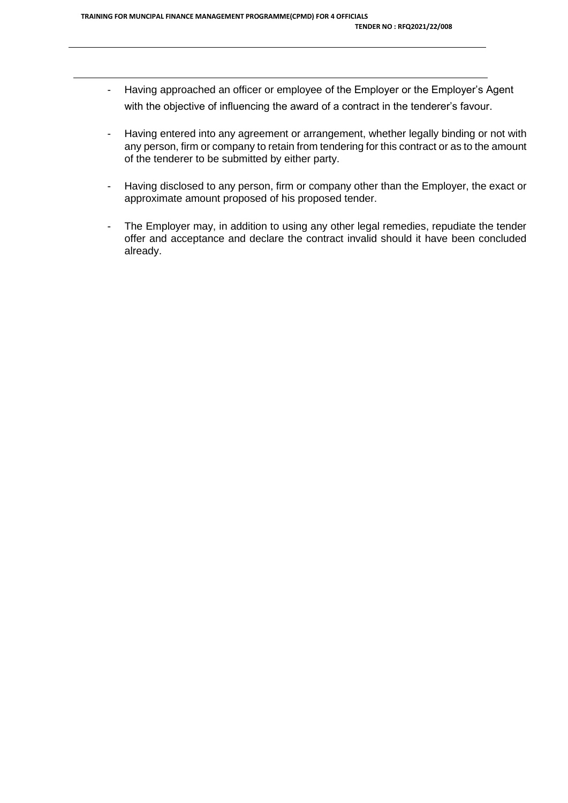- Having approached an officer or employee of the Employer or the Employer's Agent with the objective of influencing the award of a contract in the tenderer's favour.
- Having entered into any agreement or arrangement, whether legally binding or not with any person, firm or company to retain from tendering for this contract or as to the amount of the tenderer to be submitted by either party.
- Having disclosed to any person, firm or company other than the Employer, the exact or approximate amount proposed of his proposed tender.
- The Employer may, in addition to using any other legal remedies, repudiate the tender offer and acceptance and declare the contract invalid should it have been concluded already.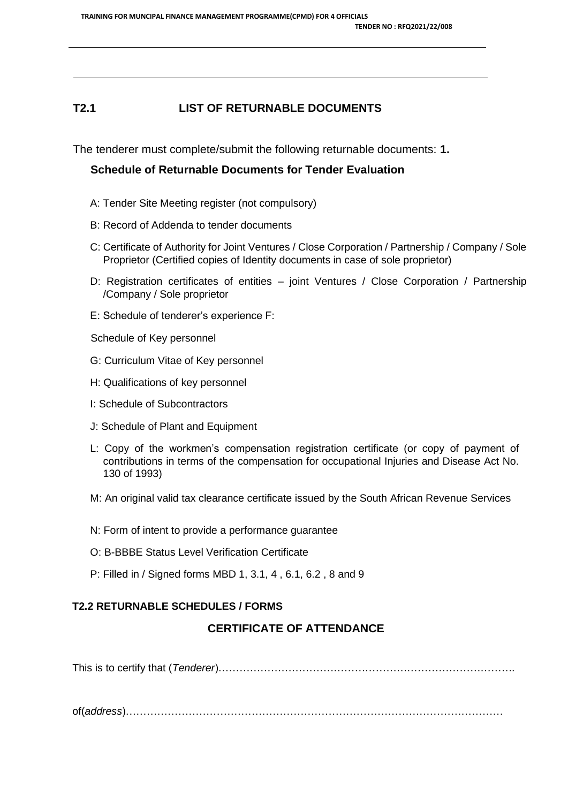# **T2.1 LIST OF RETURNABLE DOCUMENTS**

The tenderer must complete/submit the following returnable documents: **1.** 

# **Schedule of Returnable Documents for Tender Evaluation**

- A: Tender Site Meeting register (not compulsory)
- B: Record of Addenda to tender documents
- C: Certificate of Authority for Joint Ventures / Close Corporation / Partnership / Company / Sole Proprietor (Certified copies of Identity documents in case of sole proprietor)
- D: Registration certificates of entities joint Ventures / Close Corporation / Partnership /Company / Sole proprietor
- E: Schedule of tenderer's experience F:
- Schedule of Key personnel
- G: Curriculum Vitae of Key personnel
- H: Qualifications of key personnel
- I: Schedule of Subcontractors
- J: Schedule of Plant and Equipment
- L: Copy of the workmen's compensation registration certificate (or copy of payment of contributions in terms of the compensation for occupational Injuries and Disease Act No. 130 of 1993)
- M: An original valid tax clearance certificate issued by the South African Revenue Services
- N: Form of intent to provide a performance guarantee
- O: B-BBBE Status Level Verification Certificate
- P: Filled in / Signed forms MBD 1, 3.1, 4 , 6.1, 6.2 , 8 and 9

# **T2.2 RETURNABLE SCHEDULES / FORMS**

# **CERTIFICATE OF ATTENDANCE**

This is to certify that (*Tenderer*)………………………………………………………………………….

of(*address*)………………………………………………………………………………………………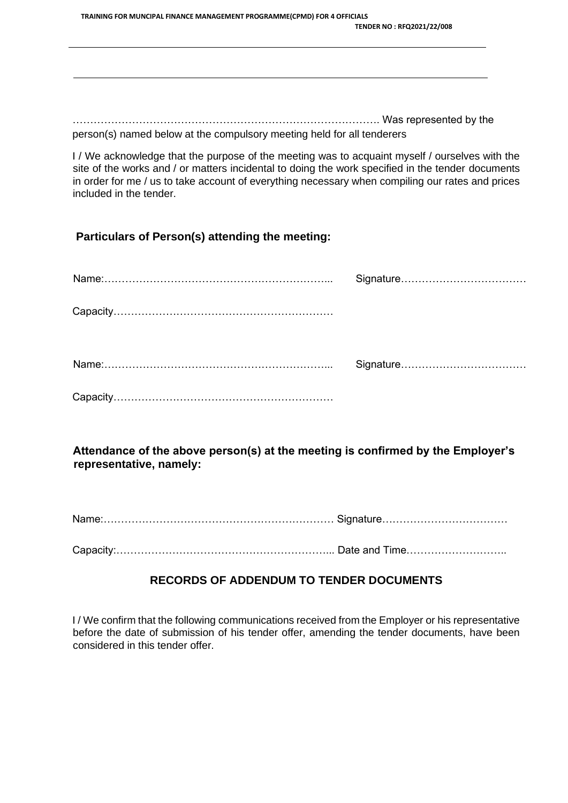……………………………………………………………………………. Was represented by the person(s) named below at the compulsory meeting held for all tenderers

I / We acknowledge that the purpose of the meeting was to acquaint myself / ourselves with the site of the works and / or matters incidental to doing the work specified in the tender documents in order for me / us to take account of everything necessary when compiling our rates and prices included in the tender.

# **Particulars of Person(s) attending the meeting:**

**Attendance of the above person(s) at the meeting is confirmed by the Employer's representative, namely:** 

Name:………………………………………………………… Signature………………………………

Capacity:……………………………………………………... Date and Time………………………..

# **RECORDS OF ADDENDUM TO TENDER DOCUMENTS**

I / We confirm that the following communications received from the Employer or his representative before the date of submission of his tender offer, amending the tender documents, have been considered in this tender offer.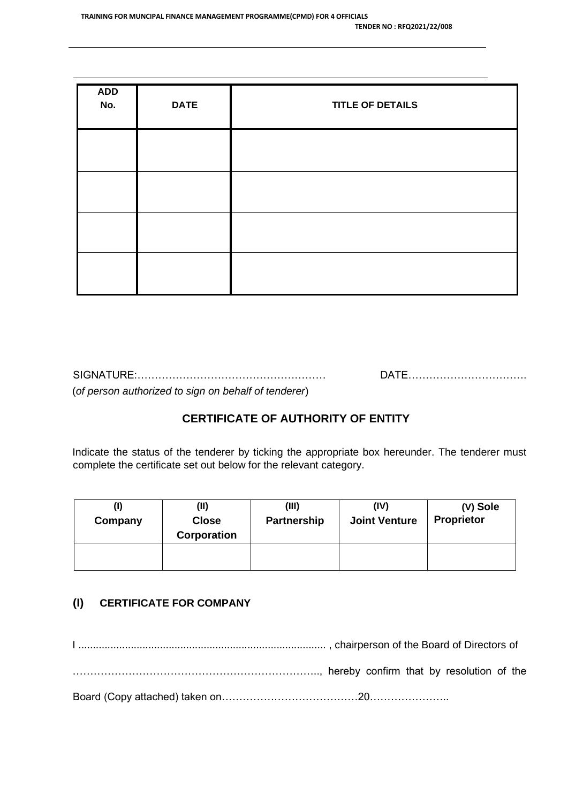| <b>ADD</b><br>No. | <b>DATE</b> | <b>TITLE OF DETAILS</b> |
|-------------------|-------------|-------------------------|
|                   |             |                         |
|                   |             |                         |
|                   |             |                         |
|                   |             |                         |

SIGNATURE:……………………………………………… DATE…………………………….

(*of person authorized to sign on behalf of tenderer*)

# **CERTIFICATE OF AUTHORITY OF ENTITY**

Indicate the status of the tenderer by ticking the appropriate box hereunder. The tenderer must complete the certificate set out below for the relevant category.

| Company | (II)<br><b>Close</b><br>Corporation | (III)<br>Partnership | (IV)<br><b>Joint Venture</b> | (V) Sole<br>Proprietor |
|---------|-------------------------------------|----------------------|------------------------------|------------------------|
|         |                                     |                      |                              |                        |

# **(I) CERTIFICATE FOR COMPANY**

I ..................................................................................... , chairperson of the Board of Directors of …………………………………………………………….., hereby confirm that by resolution of the Board (Copy attached) taken on…………………………………20…………………..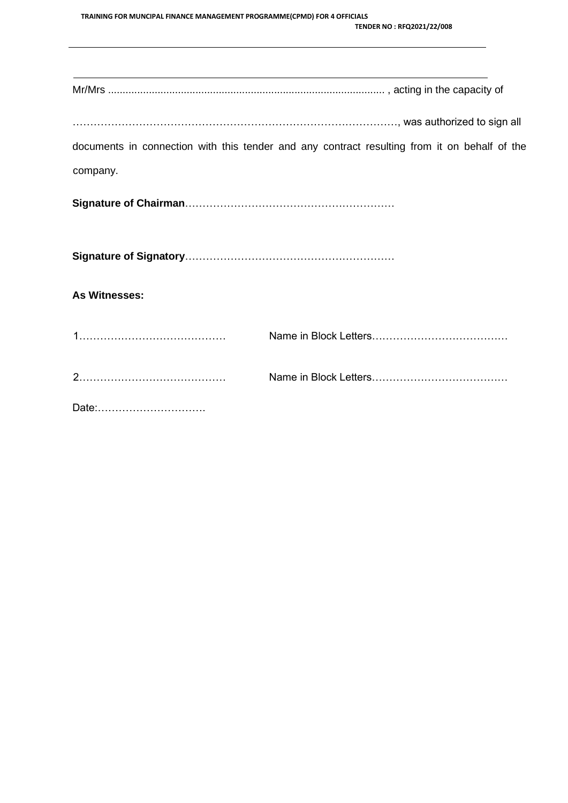| ,我们也不会有什么。""我们的人,我们也不会有什么?""我们的人,我们也不会有什么?""我们的人,我们也不会有什么?""我们的人,我们也不会有什么?""我们的人 |                                                                                              |
|----------------------------------------------------------------------------------|----------------------------------------------------------------------------------------------|
|                                                                                  |                                                                                              |
|                                                                                  |                                                                                              |
|                                                                                  | documents in connection with this tender and any contract resulting from it on behalf of the |
| company.                                                                         |                                                                                              |
|                                                                                  |                                                                                              |
|                                                                                  |                                                                                              |
|                                                                                  |                                                                                              |
|                                                                                  |                                                                                              |
|                                                                                  |                                                                                              |
|                                                                                  |                                                                                              |
| As Witnesses:                                                                    |                                                                                              |
|                                                                                  |                                                                                              |
|                                                                                  |                                                                                              |
|                                                                                  |                                                                                              |
|                                                                                  |                                                                                              |
|                                                                                  |                                                                                              |
|                                                                                  |                                                                                              |
| Date:                                                                            |                                                                                              |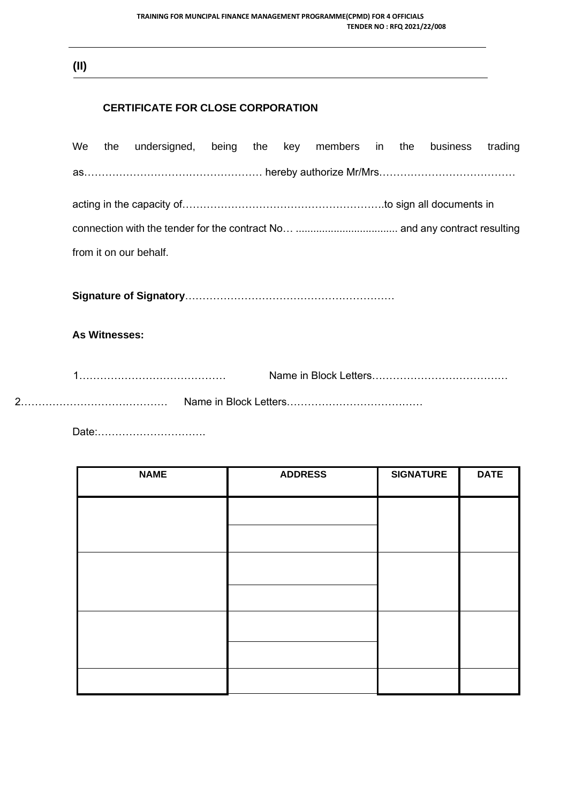**(II)**

# **CERTIFICATE FOR CLOSE CORPORATION**

| We | the           | undersigned, being the |  |  | key | members in the business |  |  |  | trading |  |
|----|---------------|------------------------|--|--|-----|-------------------------|--|--|--|---------|--|
|    |               |                        |  |  |     |                         |  |  |  |         |  |
|    |               |                        |  |  |     |                         |  |  |  |         |  |
|    |               |                        |  |  |     |                         |  |  |  |         |  |
|    |               | from it on our behalf. |  |  |     |                         |  |  |  |         |  |
|    |               |                        |  |  |     |                         |  |  |  |         |  |
|    | As Witnesses: |                        |  |  |     |                         |  |  |  |         |  |
|    |               |                        |  |  |     |                         |  |  |  |         |  |
|    |               |                        |  |  |     |                         |  |  |  |         |  |
|    |               | Date:                  |  |  |     |                         |  |  |  |         |  |

| <b>NAME</b> | <b>ADDRESS</b> | <b>SIGNATURE</b> | <b>DATE</b> |
|-------------|----------------|------------------|-------------|
|             |                |                  |             |
|             |                |                  |             |
|             |                |                  |             |
|             |                |                  |             |
|             |                |                  |             |
|             |                |                  |             |
|             |                |                  |             |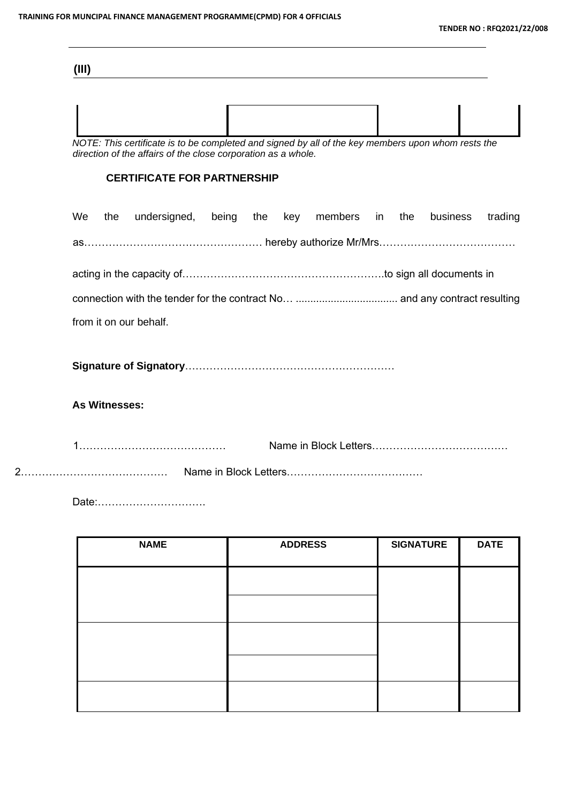**(III)**

| $M$ $\Omega$ $T$ . This southeats is to be completed and circal by all of the lieu meants on way when reads the |  |  |  |  |  |  |  |
|-----------------------------------------------------------------------------------------------------------------|--|--|--|--|--|--|--|

*NOTE: This certificate is to be completed and signed by all of the key members upon whom rests the direction of the affairs of the close corporation as a whole.* 

#### **CERTIFICATE FOR PARTNERSHIP**

| We |                      | the undersigned, being the key members in the business |  |  |  | trading |
|----|----------------------|--------------------------------------------------------|--|--|--|---------|
|    |                      |                                                        |  |  |  |         |
|    |                      |                                                        |  |  |  |         |
|    |                      |                                                        |  |  |  |         |
|    |                      | from it on our behalf.                                 |  |  |  |         |
|    |                      |                                                        |  |  |  |         |
|    | <b>As Witnesses:</b> |                                                        |  |  |  |         |

Date:………………………….

| <b>NAME</b> | <b>ADDRESS</b> | <b>SIGNATURE</b> | <b>DATE</b> |
|-------------|----------------|------------------|-------------|
|             |                |                  |             |
|             |                |                  |             |
|             |                |                  |             |
|             |                |                  |             |
|             |                |                  |             |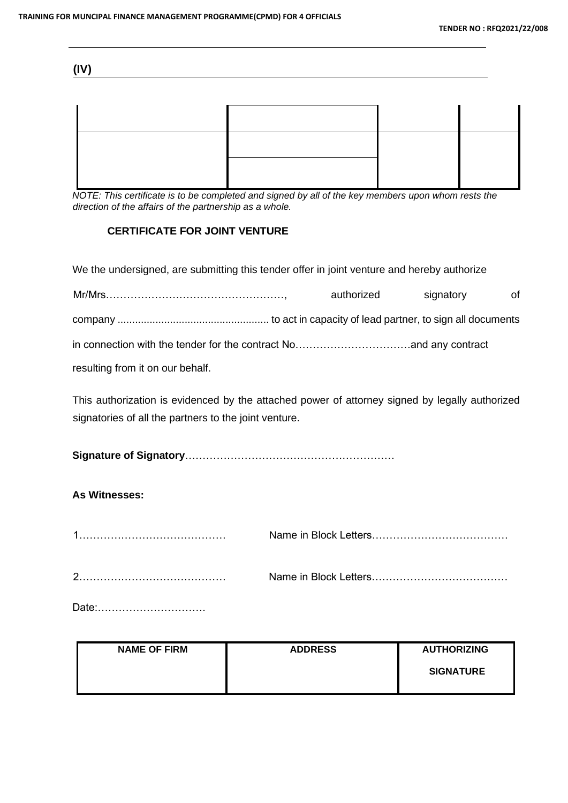**(IV)**

*NOTE: This certificate is to be completed and signed by all of the key members upon whom rests the direction of the affairs of the partnership as a whole.* 

#### **CERTIFICATE FOR JOINT VENTURE**

| We the undersigned, are submitting this tender offer in joint venture and hereby authorize |            |           |    |  |
|--------------------------------------------------------------------------------------------|------------|-----------|----|--|
|                                                                                            | authorized | signatory | 0f |  |
|                                                                                            |            |           |    |  |
|                                                                                            |            |           |    |  |
| resulting from it on our behalf.                                                           |            |           |    |  |

This authorization is evidenced by the attached power of attorney signed by legally authorized signatories of all the partners to the joint venture.

**Signature of Signatory**……………………………………………………

### **As Witnesses:**

| 2 <sub>1</sub> |  |
|----------------|--|
|                |  |

| <b>NAME OF FIRM</b> | <b>ADDRESS</b> | <b>AUTHORIZING</b> |
|---------------------|----------------|--------------------|
|                     |                | <b>SIGNATURE</b>   |
|                     |                |                    |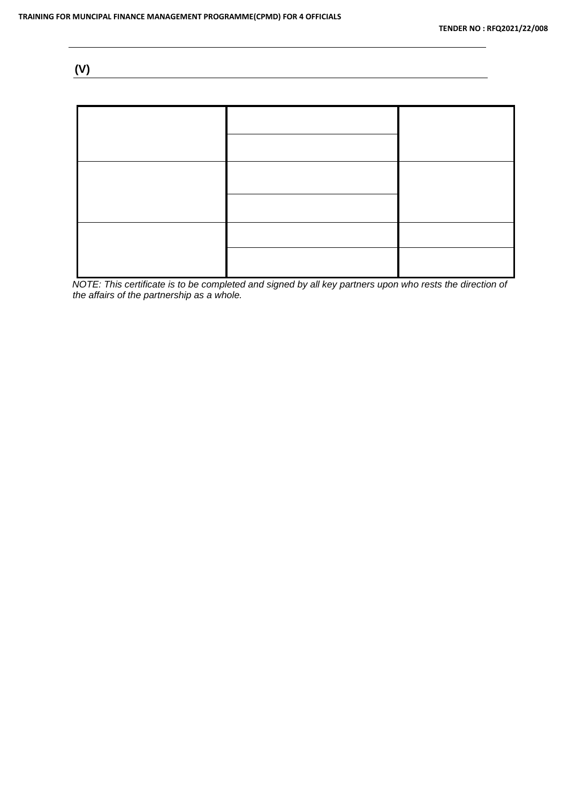**(V)**

*NOTE: This certificate is to be completed and signed by all key partners upon who rests the direction of the affairs of the partnership as a whole.*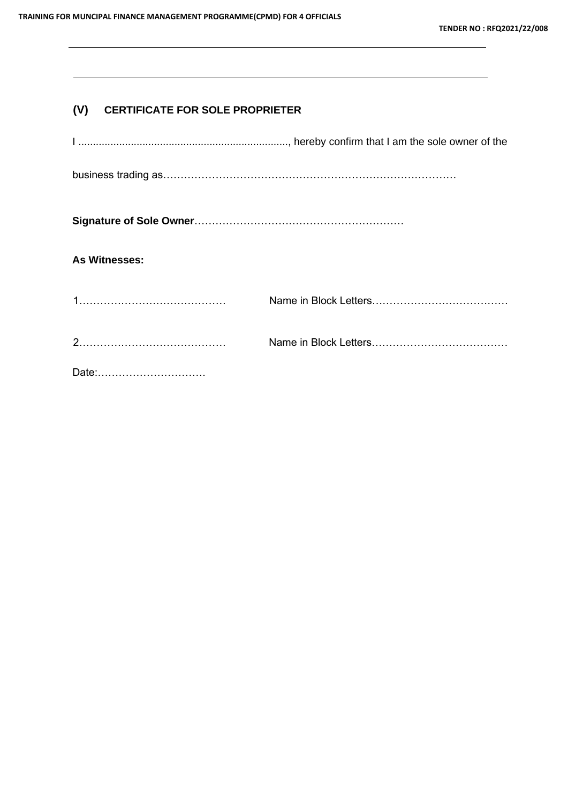# **(V) CERTIFICATE FOR SOLE PROPRIETER**

business trading as…………………………………………………………………………

**Signature of Sole Owner**……………………………………………………

# **As Witnesses:**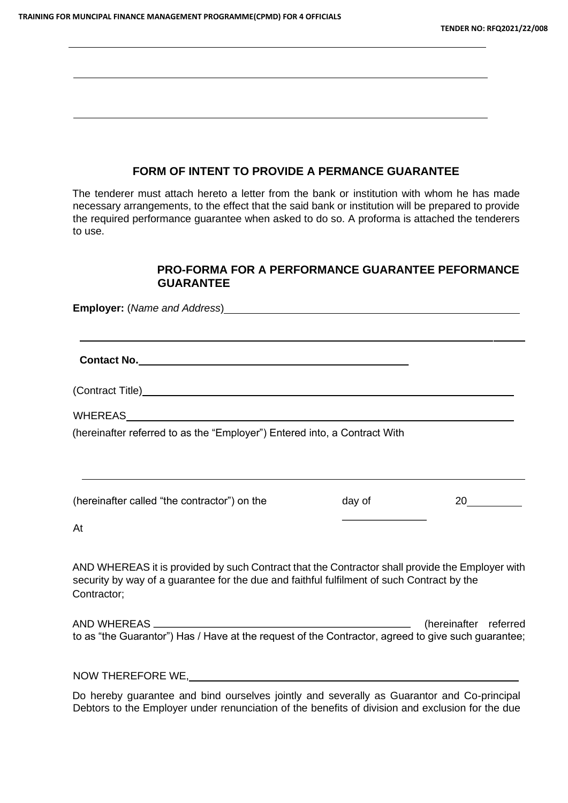#### **FORM OF INTENT TO PROVIDE A PERMANCE GUARANTEE**

The tenderer must attach hereto a letter from the bank or institution with whom he has made necessary arrangements, to the effect that the said bank or institution will be prepared to provide the required performance guarantee when asked to do so. A proforma is attached the tenderers to use.

# **PRO-FORMA FOR A PERFORMANCE GUARANTEE PEFORMANCE GUARANTEE**

**Employer:** (*Name and Address*) (Contract Title) **WHEREAS** (hereinafter referred to as the "Employer") Entered into, a Contract With (hereinafter called "the contractor") on the day of 20 At AND WHEREAS it is provided by such Contract that the Contractor shall provide the Employer with security by way of a guarantee for the due and faithful fulfilment of such Contract by the Contractor; AND WHEREAS (hereinafter referred to as "the Guarantor") Has / Have at the request of the Contractor, agreed to give such guarantee; NOW THEREFORE WE, Do hereby guarantee and bind ourselves jointly and severally as Guarantor and Co-principal **Contact No.**

Debtors to the Employer under renunciation of the benefits of division and exclusion for the due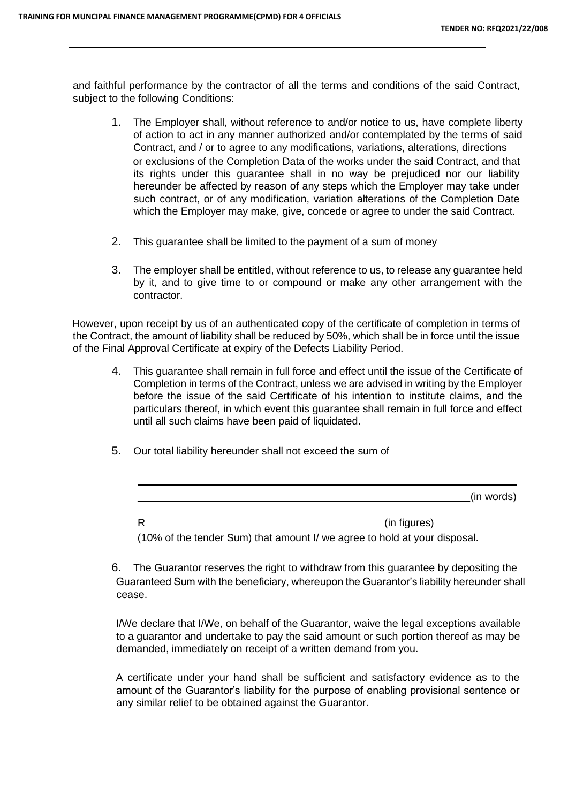and faithful performance by the contractor of all the terms and conditions of the said Contract, subject to the following Conditions:

- 1. The Employer shall, without reference to and/or notice to us, have complete liberty of action to act in any manner authorized and/or contemplated by the terms of said Contract, and / or to agree to any modifications, variations, alterations, directions or exclusions of the Completion Data of the works under the said Contract, and that its rights under this guarantee shall in no way be prejudiced nor our liability hereunder be affected by reason of any steps which the Employer may take under such contract, or of any modification, variation alterations of the Completion Date which the Employer may make, give, concede or agree to under the said Contract.
- 2. This guarantee shall be limited to the payment of a sum of money
- 3. The employer shall be entitled, without reference to us, to release any guarantee held by it, and to give time to or compound or make any other arrangement with the contractor.

However, upon receipt by us of an authenticated copy of the certificate of completion in terms of the Contract, the amount of liability shall be reduced by 50%, which shall be in force until the issue of the Final Approval Certificate at expiry of the Defects Liability Period.

- 4. This guarantee shall remain in full force and effect until the issue of the Certificate of Completion in terms of the Contract, unless we are advised in writing by the Employer before the issue of the said Certificate of his intention to institute claims, and the particulars thereof, in which event this guarantee shall remain in full force and effect until all such claims have been paid of liquidated.
- 5. Our total liability hereunder shall not exceed the sum of

(in words)

R<sub>(in figures)</sub> (10% of the tender Sum) that amount I/ we agree to hold at your disposal.

6. The Guarantor reserves the right to withdraw from this guarantee by depositing the Guaranteed Sum with the beneficiary, whereupon the Guarantor's liability hereunder shall cease.

I/We declare that I/We, on behalf of the Guarantor, waive the legal exceptions available to a guarantor and undertake to pay the said amount or such portion thereof as may be demanded, immediately on receipt of a written demand from you.

A certificate under your hand shall be sufficient and satisfactory evidence as to the amount of the Guarantor's liability for the purpose of enabling provisional sentence or any similar relief to be obtained against the Guarantor.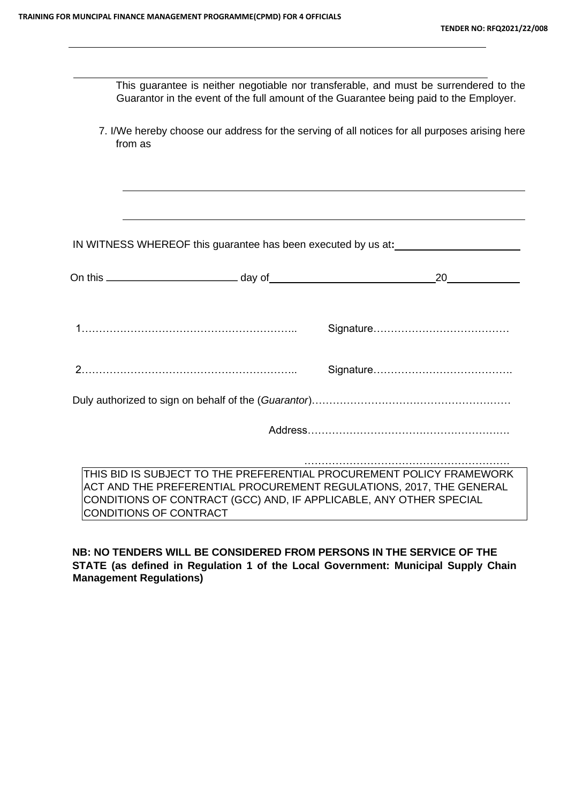| This guarantee is neither negotiable nor transferable, and must be surrendered to the<br>Guarantor in the event of the full amount of the Guarantee being paid to the Employer.                                                                    |
|----------------------------------------------------------------------------------------------------------------------------------------------------------------------------------------------------------------------------------------------------|
| 7. I/We hereby choose our address for the serving of all notices for all purposes arising here<br>from as                                                                                                                                          |
|                                                                                                                                                                                                                                                    |
|                                                                                                                                                                                                                                                    |
| IN WITNESS WHEREOF this guarantee has been executed by us at:                                                                                                                                                                                      |
|                                                                                                                                                                                                                                                    |
|                                                                                                                                                                                                                                                    |
|                                                                                                                                                                                                                                                    |
|                                                                                                                                                                                                                                                    |
|                                                                                                                                                                                                                                                    |
| THIS BID IS SUBJECT TO THE PREFERENTIAL PROCUREMENT POLICY FRAMEWORK<br>ACT AND THE PREFERENTIAL PROCUREMENT REGULATIONS, 2017, THE GENERAL<br>CONDITIONS OF CONTRACT (GCC) AND, IF APPLICABLE, ANY OTHER SPECIAL<br><b>CONDITIONS OF CONTRACT</b> |

# **NB: NO TENDERS WILL BE CONSIDERED FROM PERSONS IN THE SERVICE OF THE STATE (as defined in Regulation 1 of the Local Government: Municipal Supply Chain Management Regulations)**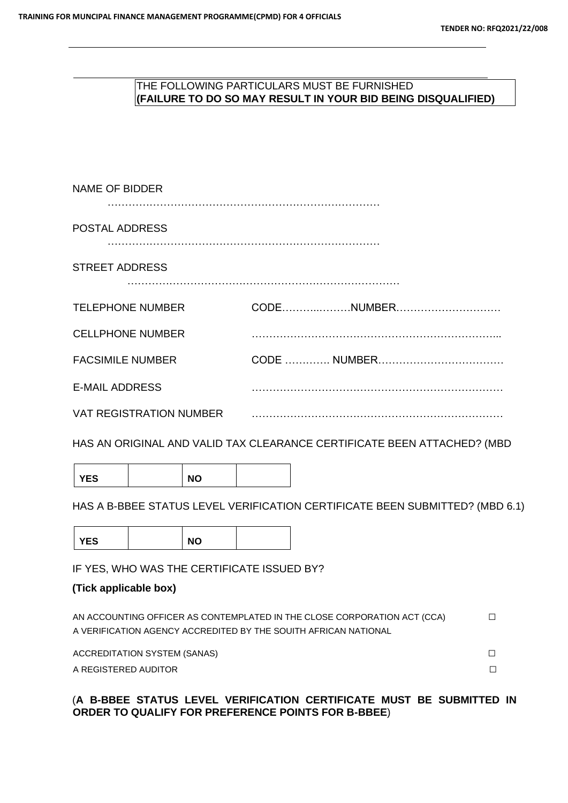# THE FOLLOWING PARTICULARS MUST BE FURNISHED **(FAILURE TO DO SO MAY RESULT IN YOUR BID BEING DISQUALIFIED)**

| <b>NAME OF BIDDER</b>          |            |
|--------------------------------|------------|
| POSTAL ADDRESS                 |            |
| <b>STREET ADDRESS</b>          |            |
| <b>TELEPHONE NUMBER</b>        | CODENUMBER |
| <b>CELLPHONE NUMBER</b>        |            |
| <b>FACSIMILE NUMBER</b>        |            |
| <b>E-MAIL ADDRESS</b>          |            |
| <b>VAT REGISTRATION NUMBER</b> |            |
|                                |            |

HAS AN ORIGINAL AND VALID TAX CLEARANCE CERTIFICATE BEEN ATTACHED? (MBD

| <b>YES</b> | <b>NO</b> |  |
|------------|-----------|--|
|------------|-----------|--|

HAS A B-BBEE STATUS LEVEL VERIFICATION CERTIFICATE BEEN SUBMITTED? (MBD 6.1)

YES | NO

IF YES, WHO WAS THE CERTIFICATE ISSUED BY?

#### **(Tick applicable box)**

AN ACCOUNTING OFFICER AS CONTEMPLATED IN THE CLOSE CORPORATION ACT  $(CCA)$ A VERIFICATION AGENCY ACCREDITED BY THE SOUITH AFRICAN NATIONAL

ACCREDITATION SYSTEM (SANAS) □ A REGISTERED AUDITOR  $\Box$ 

# (**A B-BBEE STATUS LEVEL VERIFICATION CERTIFICATE MUST BE SUBMITTED IN ORDER TO QUALIFY FOR PREFERENCE POINTS FOR B-BBEE**)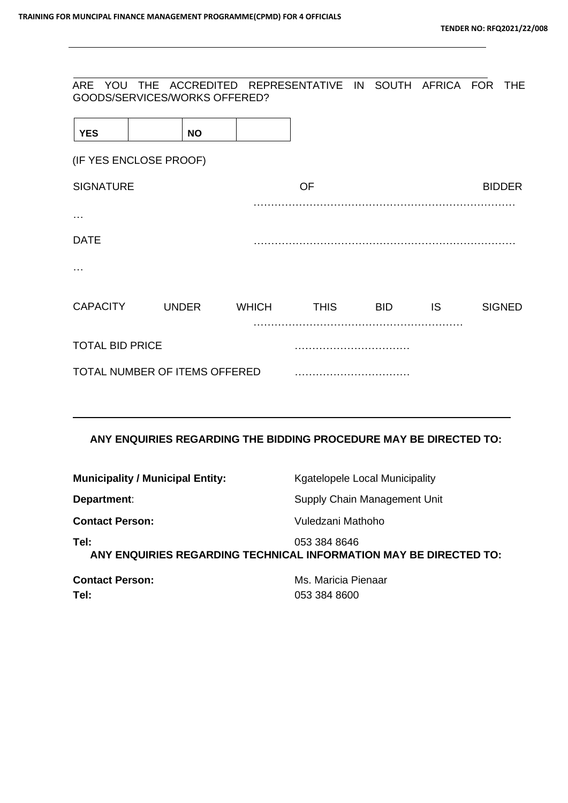# ARE YOU THE ACCREDITED REPRESENTATIVE IN SOUTH AFRICA FOR THE GOODS/SERVICES/WORKS OFFERED?

| <b>YES</b>                    |  | <b>NO</b>    |              |                                                                 |            |           |               |
|-------------------------------|--|--------------|--------------|-----------------------------------------------------------------|------------|-----------|---------------|
| (IF YES ENCLOSE PROOF)        |  |              |              |                                                                 |            |           |               |
| <b>SIGNATURE</b>              |  |              |              | <b>OF</b>                                                       |            |           | <b>BIDDER</b> |
|                               |  |              |              |                                                                 |            |           |               |
| <b>DATE</b>                   |  |              |              |                                                                 |            |           |               |
|                               |  |              |              |                                                                 |            |           |               |
| <b>CAPACITY</b>               |  | <b>UNDER</b> | <b>WHICH</b> | <b>THIS</b>                                                     | <b>BID</b> | <b>IS</b> | <b>SIGNED</b> |
| <b>TOTAL BID PRICE</b>        |  |              |              |                                                                 |            |           |               |
| TOTAL NUMBER OF ITEMS OFFERED |  |              |              |                                                                 |            |           |               |
|                               |  |              |              |                                                                 |            |           |               |
|                               |  |              |              | ANY FNOUDIES BESARDING THE BIDDING BROSEDURE MAY BE DIRESTED TO |            |           |               |

#### **ANY ENQUIRIES REGARDING THE BIDDING PROCEDURE MAY BE DIRECTED TO:**

| <b>Municipality / Municipal Entity:</b> | Kgatelopele Local Municipality                                                    |
|-----------------------------------------|-----------------------------------------------------------------------------------|
| Department:                             | Supply Chain Management Unit                                                      |
| <b>Contact Person:</b>                  | Vuledzani Mathoho                                                                 |
| Tel:                                    | 053 384 8646<br>ANY ENQUIRIES REGARDING TECHNICAL INFORMATION MAY BE DIRECTED TO: |
| <b>Contact Person:</b>                  | Ms. Maricia Pienaar                                                               |
| Tel:                                    | 053 384 8600                                                                      |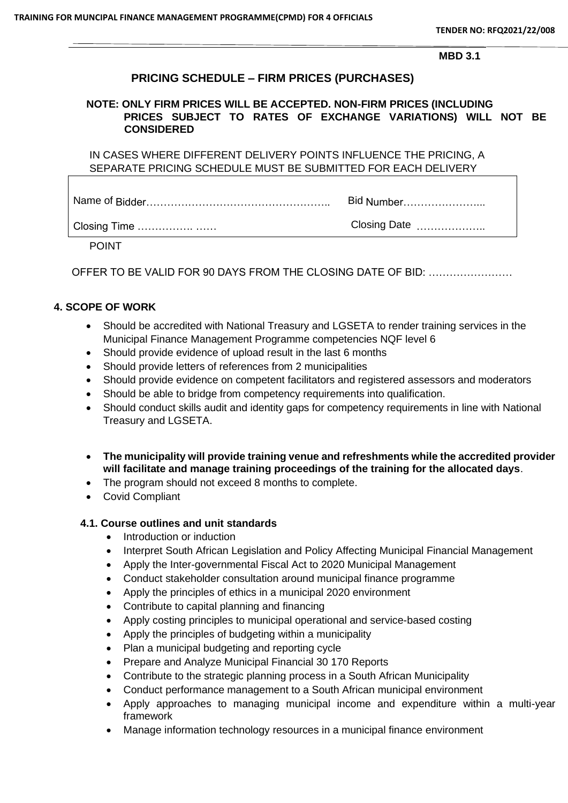**MBD 3.1** 

# **PRICING SCHEDULE – FIRM PRICES (PURCHASES)**

# **NOTE: ONLY FIRM PRICES WILL BE ACCEPTED. NON-FIRM PRICES (INCLUDING PRICES SUBJECT TO RATES OF EXCHANGE VARIATIONS) WILL NOT BE CONSIDERED**

IN CASES WHERE DIFFERENT DELIVERY POINTS INFLUENCE THE PRICING, A SEPARATE PRICING SCHEDULE MUST BE SUBMITTED FOR EACH DELIVERY

|              | Bid Number…………………… |
|--------------|--------------------|
| Closing Time | Closing Date       |

POINT

OFFER TO BE VALID FOR 90 DAYS FROM THE CLOSING DATE OF BID: ……………………

# **4. SCOPE OF WORK**

- Should be accredited with National Treasury and LGSETA to render training services in the Municipal Finance Management Programme competencies NQF level 6
- Should provide evidence of upload result in the last 6 months
- Should provide letters of references from 2 municipalities
- Should provide evidence on competent facilitators and registered assessors and moderators
- Should be able to bridge from competency requirements into qualification.
- Should conduct skills audit and identity gaps for competency requirements in line with National Treasury and LGSETA.
- **The municipality will provide training venue and refreshments while the accredited provider will facilitate and manage training proceedings of the training for the allocated days**.
- The program should not exceed 8 months to complete.
- Covid Compliant

# **4.1. Course outlines and unit standards**

- Introduction or induction
- Interpret South African Legislation and Policy Affecting Municipal Financial Management
- Apply the Inter-governmental Fiscal Act to 2020 Municipal Management
- Conduct stakeholder consultation around municipal finance programme
- Apply the principles of ethics in a municipal 2020 environment
- Contribute to capital planning and financing
- Apply costing principles to municipal operational and service-based costing
- Apply the principles of budgeting within a municipality
- Plan a municipal budgeting and reporting cycle
- Prepare and Analyze Municipal Financial 30 170 Reports
- Contribute to the strategic planning process in a South African Municipality
- Conduct performance management to a South African municipal environment
- Apply approaches to managing municipal income and expenditure within a multi-year framework
- Manage information technology resources in a municipal finance environment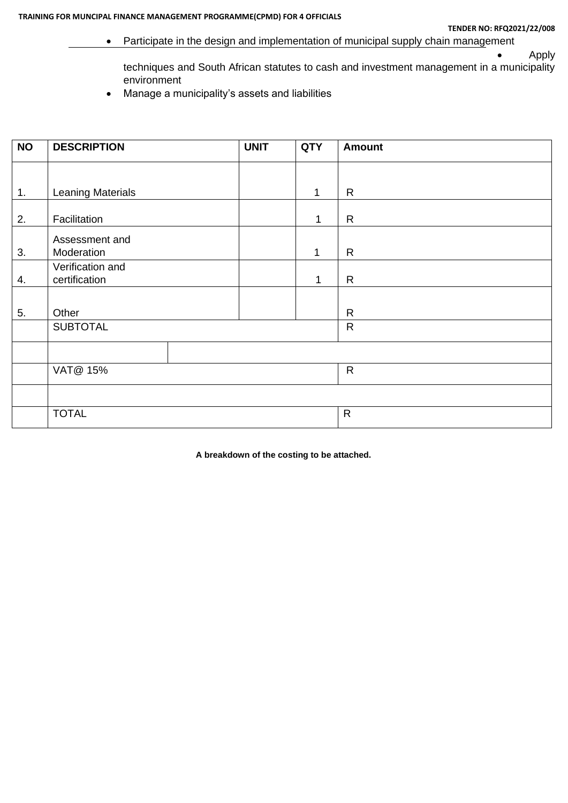• Participate in the design and implementation of municipal supply chain management

• Apply techniques and South African statutes to cash and investment management in a municipality environment

• Manage a municipality's assets and liabilities

| <b>NO</b> | <b>DESCRIPTION</b>           | <b>UNIT</b> | <b>QTY</b>  | <b>Amount</b> |
|-----------|------------------------------|-------------|-------------|---------------|
|           |                              |             |             |               |
| 1.        | <b>Leaning Materials</b>     |             | 1           | $\mathsf{R}$  |
| 2.        | Facilitation                 |             | $\mathbf 1$ | $\mathsf{R}$  |
|           |                              |             |             |               |
| 3.        | Assessment and<br>Moderation |             | 1           | $\mathsf{R}$  |
|           | Verification and             |             |             |               |
| 4.        | certification                |             | 1           | $\mathsf{R}$  |
|           |                              |             |             |               |
| 5.        | Other                        |             |             | $\mathsf{R}$  |
|           | <b>SUBTOTAL</b>              |             |             | $\mathsf{R}$  |
|           |                              |             |             |               |
|           | VAT@ 15%                     |             |             | $\mathsf{R}$  |
|           |                              |             |             |               |
|           | <b>TOTAL</b>                 |             |             | $\mathsf{R}$  |

**A breakdown of the costing to be attached.**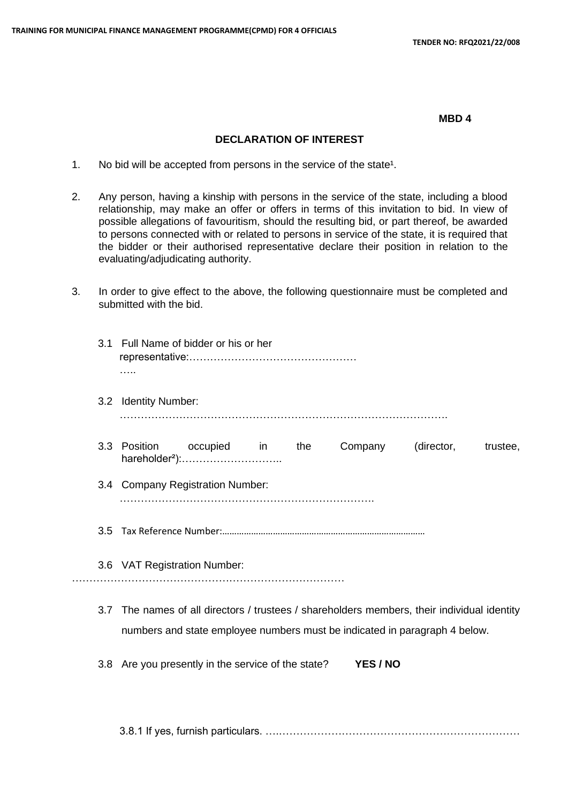#### **MBD 4**

#### **DECLARATION OF INTEREST**

- 1. No bid will be accepted from persons in the service of the state<sup>1</sup>.
- 2. Any person, having a kinship with persons in the service of the state, including a blood relationship, may make an offer or offers in terms of this invitation to bid. In view of possible allegations of favouritism, should the resulting bid, or part thereof, be awarded to persons connected with or related to persons in service of the state, it is required that the bidder or their authorised representative declare their position in relation to the evaluating/adjudicating authority.
- 3. In order to give effect to the above, the following questionnaire must be completed and submitted with the bid.

|                  | 3.1 Full Name of bidder or his or her                                                                                                                                 |
|------------------|-----------------------------------------------------------------------------------------------------------------------------------------------------------------------|
|                  | 3.2 Identity Number:                                                                                                                                                  |
|                  | 3.3 Position<br>Company (director,<br>occupied in the<br>trustee,<br>hareholder <sup>2</sup> ):                                                                       |
|                  | 3.4 Company Registration Number:                                                                                                                                      |
| 3.5              |                                                                                                                                                                       |
|                  | 3.6 VAT Registration Number:                                                                                                                                          |
| 3.7              | The names of all directors / trustees / shareholders members, their individual identity<br>numbers and state employee numbers must be indicated in paragraph 4 below. |
| 3.8 <sub>1</sub> | Are you presently in the service of the state?<br>YES / NO                                                                                                            |
|                  |                                                                                                                                                                       |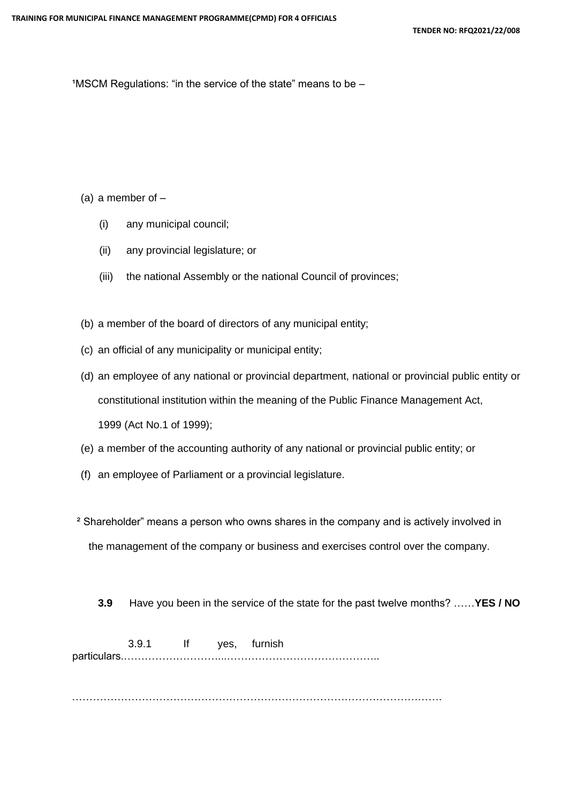$1$ MSCM Regulations: "in the service of the state" means to be  $-$ 

#### (a) a member of  $-$

- (i) any municipal council;
- (ii) any provincial legislature; or
- (iii) the national Assembly or the national Council of provinces;
- (b) a member of the board of directors of any municipal entity;
- (c) an official of any municipality or municipal entity;
- (d) an employee of any national or provincial department, national or provincial public entity or constitutional institution within the meaning of the Public Finance Management Act, 1999 (Act No.1 of 1999);
- (e) a member of the accounting authority of any national or provincial public entity; or
- (f) an employee of Parliament or a provincial legislature.
- ² Shareholder" means a person who owns shares in the company and is actively involved in the management of the company or business and exercises control over the company.
	- **3.9** Have you been in the service of the state for the past twelve months? ……**YES / NO**

3.9.1 If yes, furnish particulars.………………………...……………………………………..

…………………………………………………………………………………………….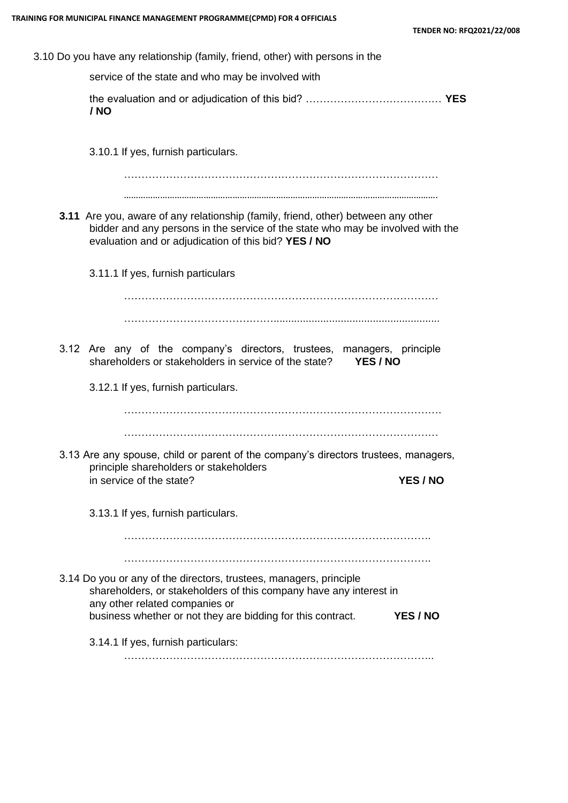3.10 Do you have any relationship (family, friend, other) with persons in the service of the state and who may be involved with the evaluation and or adjudication of this bid? ………………………………… **YES / NO**  3.10.1 If yes, furnish particulars. ……………………………………………………………………………… …………………………………………………………………………………………………………………. **3.11** Are you, aware of any relationship (family, friend, other) between any other bidder and any persons in the service of the state who may be involved with the evaluation and or adjudication of this bid? **YES / NO**  3.11.1 If yes, furnish particulars ……………………………………………………………………………… ……………………………….……......................................................... 3.12 Are any of the company's directors, trustees, managers, principle shareholders or stakeholders in service of the state? **YES / NO**  3.12.1 If yes, furnish particulars. ………………………………………………………………………………. ……………………………………………………………………………… 3.13 Are any spouse, child or parent of the company's directors trustees, managers, principle shareholders or stakeholders in service of the state? **YES / NO**  3.13.1 If yes, furnish particulars. ……………………………………………………………………………. ……………………………………………………………………………. 3.14 Do you or any of the directors, trustees, managers, principle shareholders, or stakeholders of this company have any interest in any other related companies or business whether or not they are bidding for this contract. **YES / NO**  3.14.1 If yes, furnish particulars: ……………………………………………………………………………..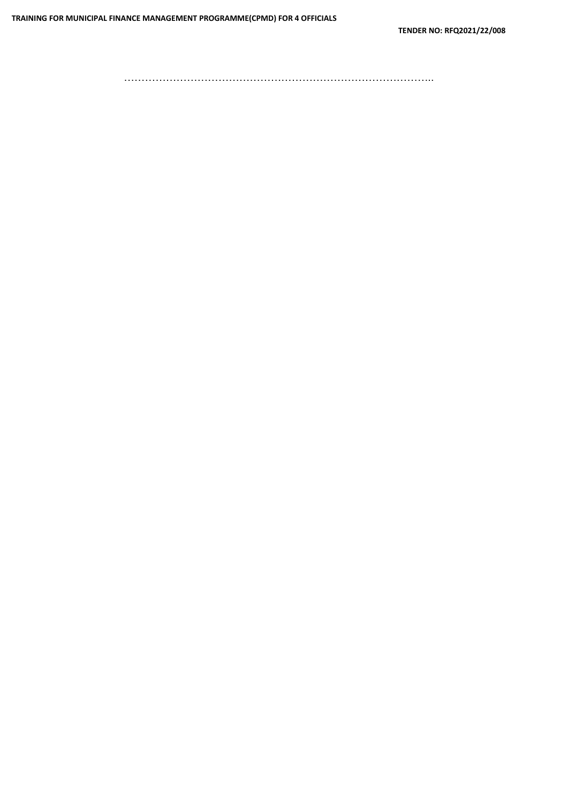……………………………………………………………………………..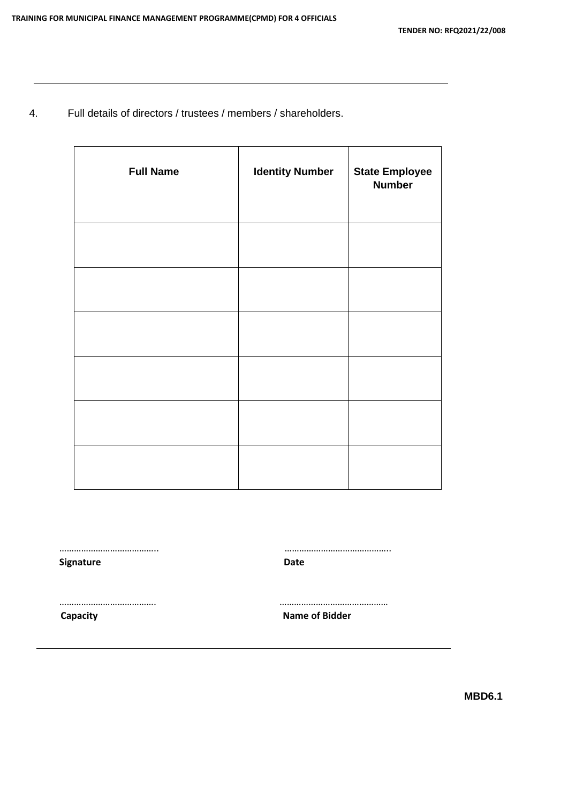4. Full details of directors / trustees / members / shareholders.

| <b>Full Name</b> | <b>Identity Number</b> | <b>State Employee</b><br><b>Number</b> |
|------------------|------------------------|----------------------------------------|
|                  |                        |                                        |
|                  |                        |                                        |
|                  |                        |                                        |
|                  |                        |                                        |
|                  |                        |                                        |
|                  |                        |                                        |

| Signature | Date                  |
|-----------|-----------------------|
|           |                       |
| Capacity  | <b>Name of Bidder</b> |

**MBD6.1**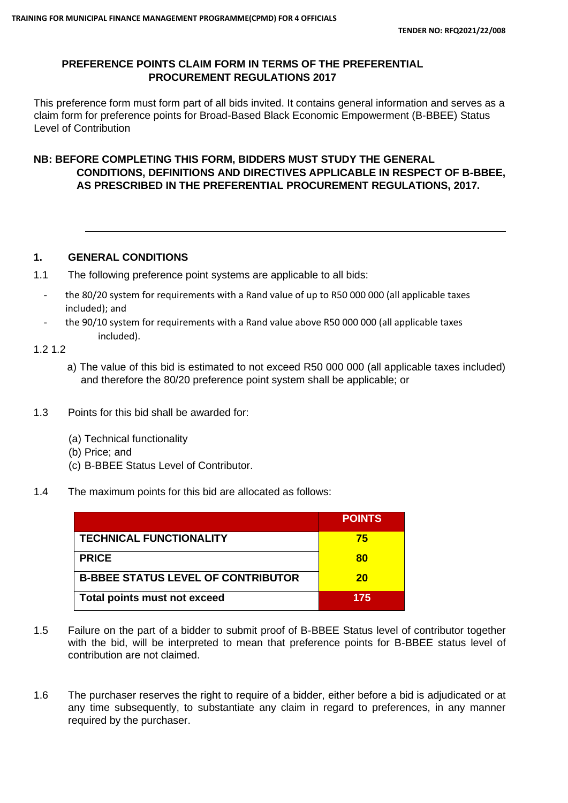# **PREFERENCE POINTS CLAIM FORM IN TERMS OF THE PREFERENTIAL PROCUREMENT REGULATIONS 2017**

This preference form must form part of all bids invited. It contains general information and serves as a claim form for preference points for Broad-Based Black Economic Empowerment (B-BBEE) Status Level of Contribution

# **NB: BEFORE COMPLETING THIS FORM, BIDDERS MUST STUDY THE GENERAL CONDITIONS, DEFINITIONS AND DIRECTIVES APPLICABLE IN RESPECT OF B-BBEE, AS PRESCRIBED IN THE PREFERENTIAL PROCUREMENT REGULATIONS, 2017.**

# **1. GENERAL CONDITIONS**

- 1.1 The following preference point systems are applicable to all bids:
	- the 80/20 system for requirements with a Rand value of up to R50 000 000 (all applicable taxes included); and
	- the 90/10 system for requirements with a Rand value above R50 000 000 (all applicable taxes included).

### 1.2 1.2

- a) The value of this bid is estimated to not exceed R50 000 000 (all applicable taxes included) and therefore the 80/20 preference point system shall be applicable; or
- 1.3 Points for this bid shall be awarded for:
	- (a) Technical functionality
	- (b) Price; and
	- (c) B-BBEE Status Level of Contributor.
- 1.4 The maximum points for this bid are allocated as follows:

|                                           | <b>POINTS</b> |
|-------------------------------------------|---------------|
| <b>TECHNICAL FUNCTIONALITY</b>            | 75            |
| <b>PRICE</b>                              | 80            |
| <b>B-BBEE STATUS LEVEL OF CONTRIBUTOR</b> | 20            |
| Total points must not exceed              | 175           |

- 1.5 Failure on the part of a bidder to submit proof of B-BBEE Status level of contributor together with the bid, will be interpreted to mean that preference points for B-BBEE status level of contribution are not claimed.
- 1.6 The purchaser reserves the right to require of a bidder, either before a bid is adjudicated or at any time subsequently, to substantiate any claim in regard to preferences, in any manner required by the purchaser.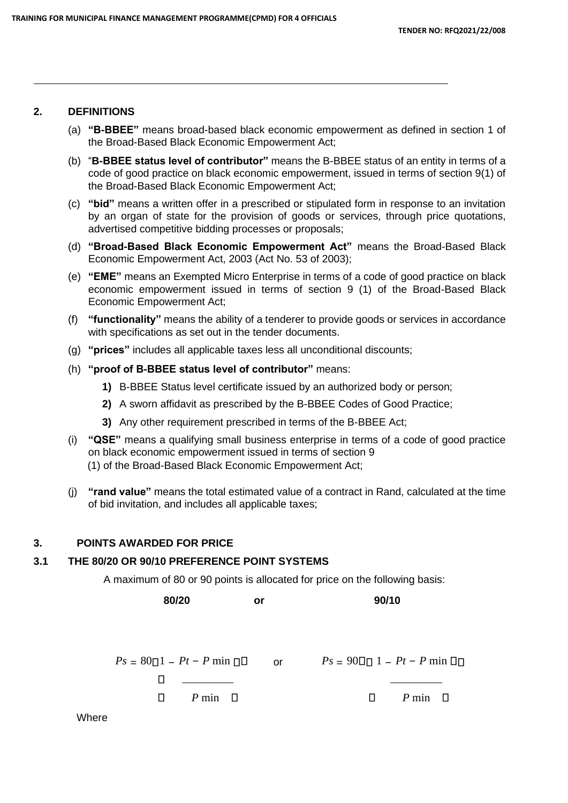### **2. DEFINITIONS**

- (a) **"B-BBEE"** means broad-based black economic empowerment as defined in section 1 of the Broad-Based Black Economic Empowerment Act;
- (b) "**B-BBEE status level of contributor"** means the B-BBEE status of an entity in terms of a code of good practice on black economic empowerment, issued in terms of section 9(1) of the Broad-Based Black Economic Empowerment Act;
- (c) **"bid"** means a written offer in a prescribed or stipulated form in response to an invitation by an organ of state for the provision of goods or services, through price quotations, advertised competitive bidding processes or proposals;
- (d) **"Broad-Based Black Economic Empowerment Act"** means the Broad-Based Black Economic Empowerment Act, 2003 (Act No. 53 of 2003);
- (e) **"EME"** means an Exempted Micro Enterprise in terms of a code of good practice on black economic empowerment issued in terms of section 9 (1) of the Broad-Based Black Economic Empowerment Act;
- (f) **"functionality"** means the ability of a tenderer to provide goods or services in accordance with specifications as set out in the tender documents.
- (g) **"prices"** includes all applicable taxes less all unconditional discounts;
- (h) **"proof of B-BBEE status level of contributor"** means:
	- **1)** B-BBEE Status level certificate issued by an authorized body or person;
	- **2)** A sworn affidavit as prescribed by the B-BBEE Codes of Good Practice;
	- **3)** Any other requirement prescribed in terms of the B-BBEE Act;
- (i) **"QSE"** means a qualifying small business enterprise in terms of a code of good practice on black economic empowerment issued in terms of section 9 (1) of the Broad-Based Black Economic Empowerment Act;
- (j) **"rand value"** means the total estimated value of a contract in Rand, calculated at the time of bid invitation, and includes all applicable taxes;

# **3. POINTS AWARDED FOR PRICE**

# **3.1 THE 80/20 OR 90/10 PREFERENCE POINT SYSTEMS**

A maximum of 80 or 90 points is allocated for price on the following basis:

**80/20 or 90/10** 

 $Ps = 80 \square 1 - Pt - P$  min  $\square \square$  or  $Ps = 90 \square \square 1 - Pt - P$  min  $\square \square$  $\Box$ *P* min **□ D** *P* min **□**  $\Box$ 

**Where**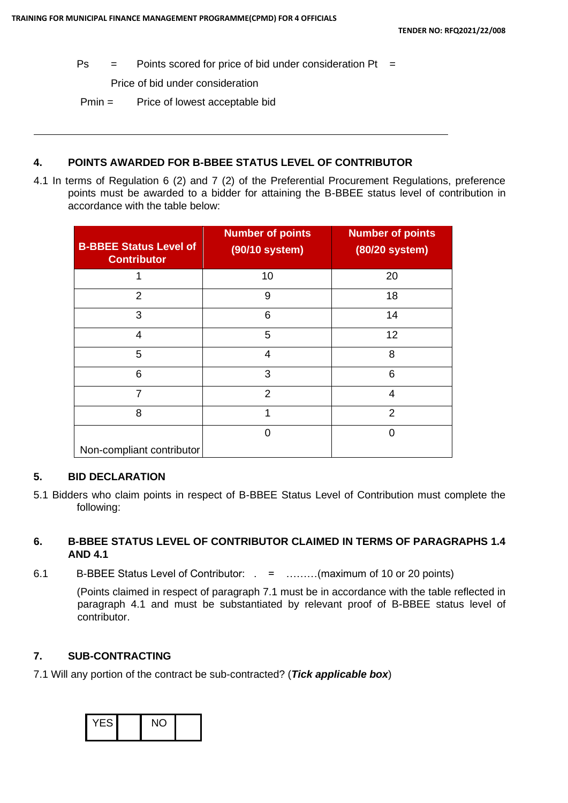$Ps =$  Points scored for price of bid under consideration Pt =

Price of bid under consideration

Pmin = Price of lowest acceptable bid

# **4. POINTS AWARDED FOR B-BBEE STATUS LEVEL OF CONTRIBUTOR**

4.1 In terms of Regulation 6 (2) and 7 (2) of the Preferential Procurement Regulations, preference points must be awarded to a bidder for attaining the B-BBEE status level of contribution in accordance with the table below:

| <b>B-BBEE Status Level of</b><br><b>Contributor</b> | <b>Number of points</b><br>(90/10 system) | <b>Number of points</b><br>(80/20 system) |
|-----------------------------------------------------|-------------------------------------------|-------------------------------------------|
| 1                                                   | 10                                        | 20                                        |
| 2                                                   | 9                                         | 18                                        |
| 3                                                   | 6                                         | 14                                        |
| 4                                                   | 5                                         | 12                                        |
| 5                                                   | 4                                         | 8                                         |
| 6                                                   | 3                                         | 6                                         |
| 7                                                   | $\overline{2}$                            | 4                                         |
| 8                                                   | 1                                         | 2                                         |
|                                                     | 0                                         | $\Omega$                                  |
| Non-compliant contributor                           |                                           |                                           |

#### **5. BID DECLARATION**

5.1 Bidders who claim points in respect of B-BBEE Status Level of Contribution must complete the following:

# **6. B-BBEE STATUS LEVEL OF CONTRIBUTOR CLAIMED IN TERMS OF PARAGRAPHS 1.4 AND 4.1**

6.1 B-BBEE Status Level of Contributor: . = ………(maximum of 10 or 20 points)

(Points claimed in respect of paragraph 7.1 must be in accordance with the table reflected in paragraph 4.1 and must be substantiated by relevant proof of B-BBEE status level of contributor.

# **7. SUB-CONTRACTING**

7.1 Will any portion of the contract be sub-contracted? (*Tick applicable box*)

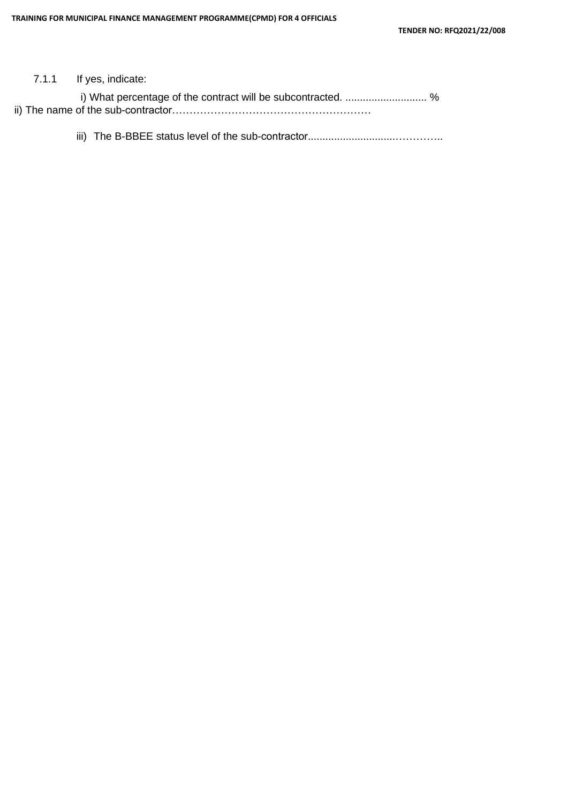#### 7.1.1 If yes, indicate:

i) What percentage of the contract will be subcontracted. ............................ % ii) The name of the sub-contractor…………………………………………………

iii) The B-BBEE status level of the sub-contractor..............................…………..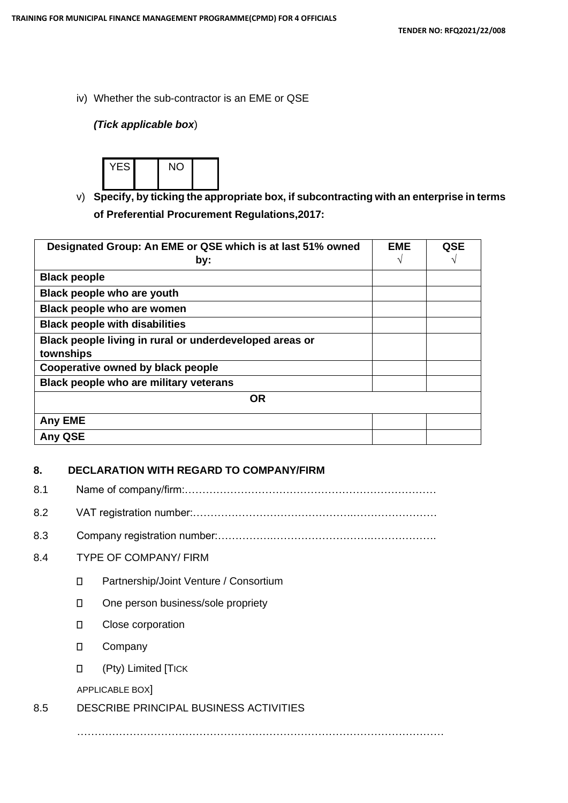# iv) Whether the sub-contractor is an EME or QSE

# *(Tick applicable box*)



v) **Specify, by ticking the appropriate box, if subcontracting with an enterprise in terms of Preferential Procurement Regulations,2017:** 

| Designated Group: An EME or QSE which is at last 51% owned<br>by:    | <b>EME</b><br>V | <b>QSE</b> |
|----------------------------------------------------------------------|-----------------|------------|
| <b>Black people</b>                                                  |                 |            |
| Black people who are youth                                           |                 |            |
| Black people who are women                                           |                 |            |
| <b>Black people with disabilities</b>                                |                 |            |
| Black people living in rural or underdeveloped areas or<br>townships |                 |            |
| Cooperative owned by black people                                    |                 |            |
| Black people who are military veterans                               |                 |            |
| <b>OR</b>                                                            |                 |            |
| Any EME                                                              |                 |            |
| Any QSE                                                              |                 |            |

# **8. DECLARATION WITH REGARD TO COMPANY/FIRM**

- 8.1 Name of company/firm:………………………………………………………………
- 8.2 VAT registration number:……………………………………….……………………
- 8.3 Company registration number:…………….……………………….……………….

# 8.4 TYPE OF COMPANY/ FIRM

- $\Box$ Partnership/Joint Venture / Consortium
- $\Box$ One person business/sole propriety
- $\Box$ Close corporation
- $\Box$ **Company**
- (Pty) Limited [TICK  $\Box$

APPLICABLE BOX]

8.5 DESCRIBE PRINCIPAL BUSINESS ACTIVITIES

……………………………………………………………………………………………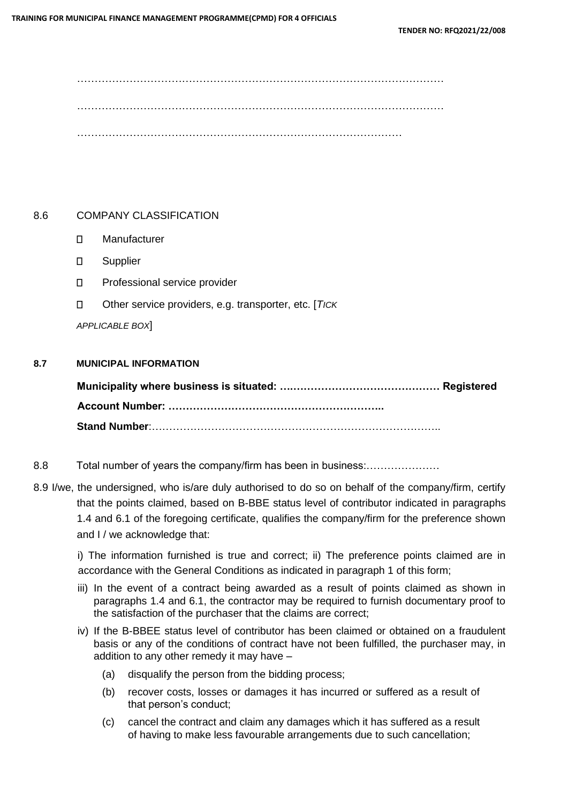……………………………………………………………………………………………

……………………………………………………………………………………………

…………………………………………………………………………………

#### 8.6 COMPANY CLASSIFICATION

- $\Box$ Manufacturer
- $\Box$ **Supplier**
- $\Box$ Professional service provider
- Other service providers, e.g. transporter, etc. [*TICK*   $\Box$

*APPLICABLE BOX*]

#### **8.7 MUNICIPAL INFORMATION**

**Municipality where business is situated: ….…………………………………… Registered Account Number: …………………………………………………….. Stand Number**:………………………………………………………………………..

- 8.8 Total number of years the company/firm has been in business:…………………
- 8.9 I/we, the undersigned, who is/are duly authorised to do so on behalf of the company/firm, certify that the points claimed, based on B-BBE status level of contributor indicated in paragraphs 1.4 and 6.1 of the foregoing certificate, qualifies the company/firm for the preference shown and I / we acknowledge that:

i) The information furnished is true and correct; ii) The preference points claimed are in accordance with the General Conditions as indicated in paragraph 1 of this form;

- iii) In the event of a contract being awarded as a result of points claimed as shown in paragraphs 1.4 and 6.1, the contractor may be required to furnish documentary proof to the satisfaction of the purchaser that the claims are correct;
- iv) If the B-BBEE status level of contributor has been claimed or obtained on a fraudulent basis or any of the conditions of contract have not been fulfilled, the purchaser may, in addition to any other remedy it may have –
	- (a) disqualify the person from the bidding process;
	- (b) recover costs, losses or damages it has incurred or suffered as a result of that person's conduct;
	- (c) cancel the contract and claim any damages which it has suffered as a result of having to make less favourable arrangements due to such cancellation;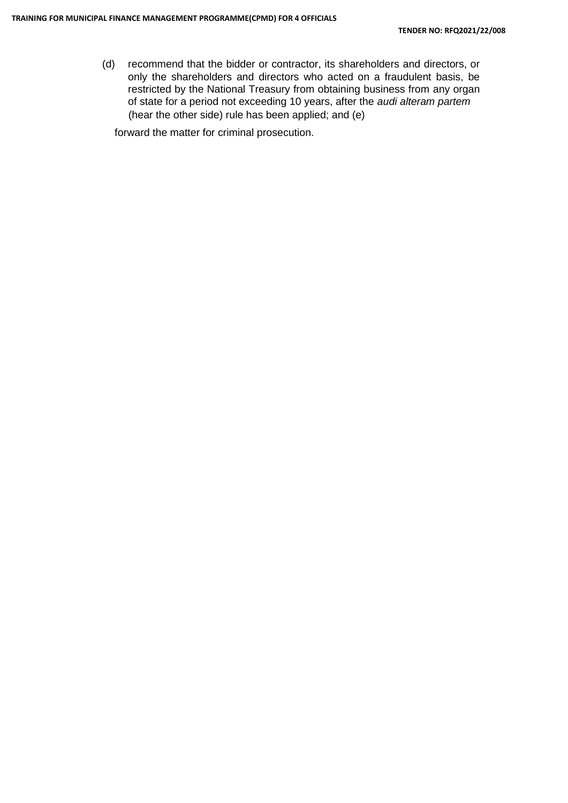(d) recommend that the bidder or contractor, its shareholders and directors, or only the shareholders and directors who acted on a fraudulent basis, be restricted by the National Treasury from obtaining business from any organ of state for a period not exceeding 10 years, after the *audi alteram partem*  (hear the other side) rule has been applied; and (e)

forward the matter for criminal prosecution.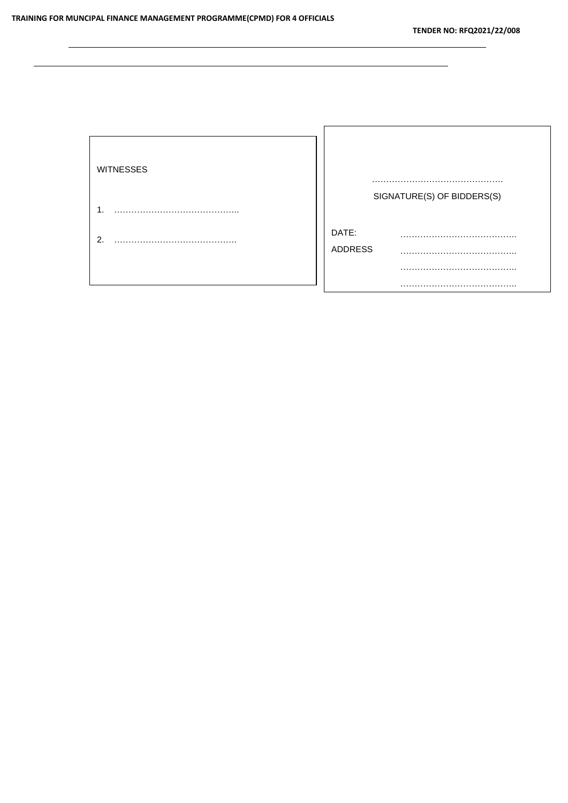$\overline{\phantom{0}}$ 

| <b>WITNESSES</b> |                         | SIGNATURE(S) OF BIDDERS(S) |
|------------------|-------------------------|----------------------------|
| ົ                | DATE:<br><b>ADDRESS</b> |                            |
|                  |                         |                            |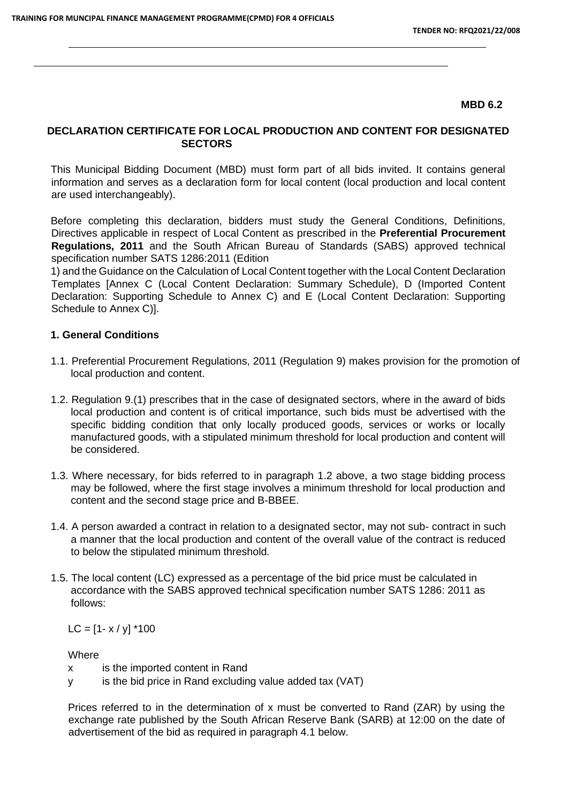### **MBD 6.2**

### **DECLARATION CERTIFICATE FOR LOCAL PRODUCTION AND CONTENT FOR DESIGNATED SECTORS**

This Municipal Bidding Document (MBD) must form part of all bids invited. It contains general information and serves as a declaration form for local content (local production and local content are used interchangeably).

Before completing this declaration, bidders must study the General Conditions, Definitions, Directives applicable in respect of Local Content as prescribed in the **Preferential Procurement Regulations, 2011** and the South African Bureau of Standards (SABS) approved technical specification number SATS 1286:2011 (Edition

1) and the Guidance on the Calculation of Local Content together with the Local Content Declaration Templates [Annex C (Local Content Declaration: Summary Schedule), D (Imported Content Declaration: Supporting Schedule to Annex C) and E (Local Content Declaration: Supporting Schedule to Annex C)].

### **1. General Conditions**

- 1.1. Preferential Procurement Regulations, 2011 (Regulation 9) makes provision for the promotion of local production and content.
- 1.2. Regulation 9.(1) prescribes that in the case of designated sectors, where in the award of bids local production and content is of critical importance, such bids must be advertised with the specific bidding condition that only locally produced goods, services or works or locally manufactured goods, with a stipulated minimum threshold for local production and content will be considered.
- 1.3. Where necessary, for bids referred to in paragraph 1.2 above, a two stage bidding process may be followed, where the first stage involves a minimum threshold for local production and content and the second stage price and B-BBEE.
- 1.4. A person awarded a contract in relation to a designated sector, may not sub- contract in such a manner that the local production and content of the overall value of the contract is reduced to below the stipulated minimum threshold.
- 1.5. The local content (LC) expressed as a percentage of the bid price must be calculated in accordance with the SABS approved technical specification number SATS 1286: 2011 as follows:

 $LC = [1 - x / y]$  \*100

# **Where**

- x is the imported content in Rand
- y is the bid price in Rand excluding value added tax (VAT)

Prices referred to in the determination of x must be converted to Rand (ZAR) by using the exchange rate published by the South African Reserve Bank (SARB) at 12:00 on the date of advertisement of the bid as required in paragraph 4.1 below.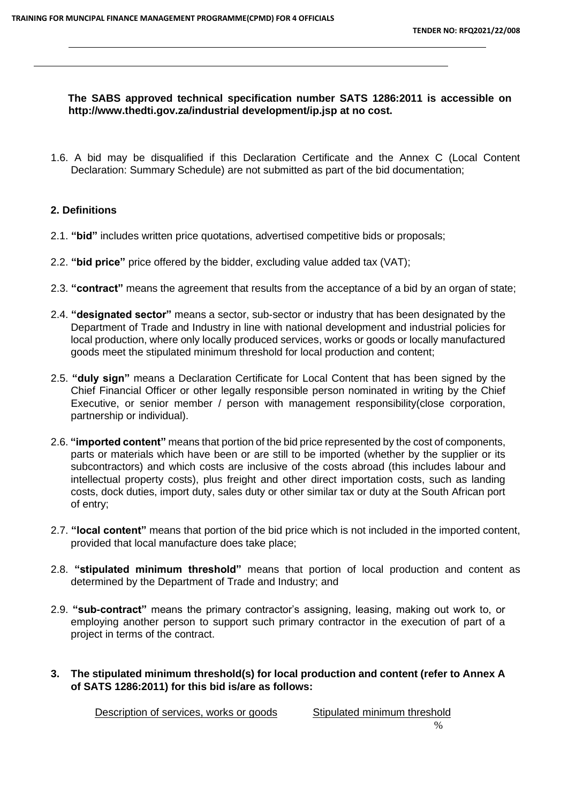#### **The SABS approved technical specification number SATS 1286:2011 is accessible on <http://www.thedti.gov.za/industrial> [d](http://www.thedti.gov.za/industrial)evelopment/ip.jsp at no cost.**

1.6. A bid may be disqualified if this Declaration Certificate and the Annex C (Local Content Declaration: Summary Schedule) are not submitted as part of the bid documentation;

# **2. Definitions**

- 2.1. **"bid"** includes written price quotations, advertised competitive bids or proposals;
- 2.2. **"bid price"** price offered by the bidder, excluding value added tax (VAT);
- 2.3. **"contract"** means the agreement that results from the acceptance of a bid by an organ of state;
- 2.4. **"designated sector"** means a sector, sub-sector or industry that has been designated by the Department of Trade and Industry in line with national development and industrial policies for local production, where only locally produced services, works or goods or locally manufactured goods meet the stipulated minimum threshold for local production and content;
- 2.5. **"duly sign"** means a Declaration Certificate for Local Content that has been signed by the Chief Financial Officer or other legally responsible person nominated in writing by the Chief Executive, or senior member / person with management responsibility(close corporation, partnership or individual).
- 2.6. **"imported content"** means that portion of the bid price represented by the cost of components, parts or materials which have been or are still to be imported (whether by the supplier or its subcontractors) and which costs are inclusive of the costs abroad (this includes labour and intellectual property costs), plus freight and other direct importation costs, such as landing costs, dock duties, import duty, sales duty or other similar tax or duty at the South African port of entry;
- 2.7. **"local content"** means that portion of the bid price which is not included in the imported content, provided that local manufacture does take place;
- 2.8. **"stipulated minimum threshold"** means that portion of local production and content as determined by the Department of Trade and Industry; and
- 2.9. **"sub-contract"** means the primary contractor's assigning, leasing, making out work to, or employing another person to support such primary contractor in the execution of part of a project in terms of the contract.
- **3. The stipulated minimum threshold(s) for local production and content (refer to Annex A of SATS 1286:2011) for this bid is/are as follows:**

Description of services, works or goods Stipulated minimum threshold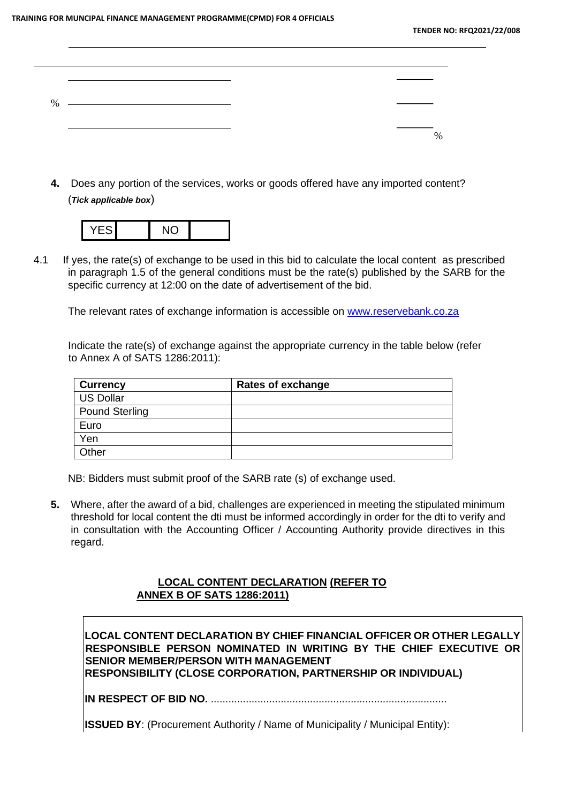| $\%$ $\qquad$ |  |
|---------------|--|
|               |  |
|               |  |

**4.** Does any portion of the services, works or goods offered have any imported content? (*Tick applicable box*)



4.1 If yes, the rate(s) of exchange to be used in this bid to calculate the local content as prescribed in paragraph 1.5 of the general conditions must be the rate(s) published by the SARB for the specific currency at 12:00 on the date of advertisement of the bid.

The relevant rates of exchange information is accessible on [www.reservebank.co.za](http://www.reservebank.co.za/)

Indicate the rate(s) of exchange against the appropriate currency in the table below (refer to Annex A of SATS 1286:2011):

| <b>Currency</b>       | <b>Rates of exchange</b> |
|-----------------------|--------------------------|
| US Dollar             |                          |
| <b>Pound Sterling</b> |                          |
| Euro                  |                          |
| Yen                   |                          |
| Other                 |                          |

NB: Bidders must submit proof of the SARB rate (s) of exchange used.

**5.** Where, after the award of a bid, challenges are experienced in meeting the stipulated minimum threshold for local content the dti must be informed accordingly in order for the dti to verify and in consultation with the Accounting Officer / Accounting Authority provide directives in this regard.

# **LOCAL CONTENT DECLARATION (REFER TO ANNEX B OF SATS 1286:2011)**

**LOCAL CONTENT DECLARATION BY CHIEF FINANCIAL OFFICER OR OTHER LEGALLY RESPONSIBLE PERSON NOMINATED IN WRITING BY THE CHIEF EXECUTIVE OR SENIOR MEMBER/PERSON WITH MANAGEMENT RESPONSIBILITY (CLOSE CORPORATION, PARTNERSHIP OR INDIVIDUAL)** 

**IN RESPECT OF BID NO.** .................................................................................

**ISSUED BY**: (Procurement Authority / Name of Municipality / Municipal Entity):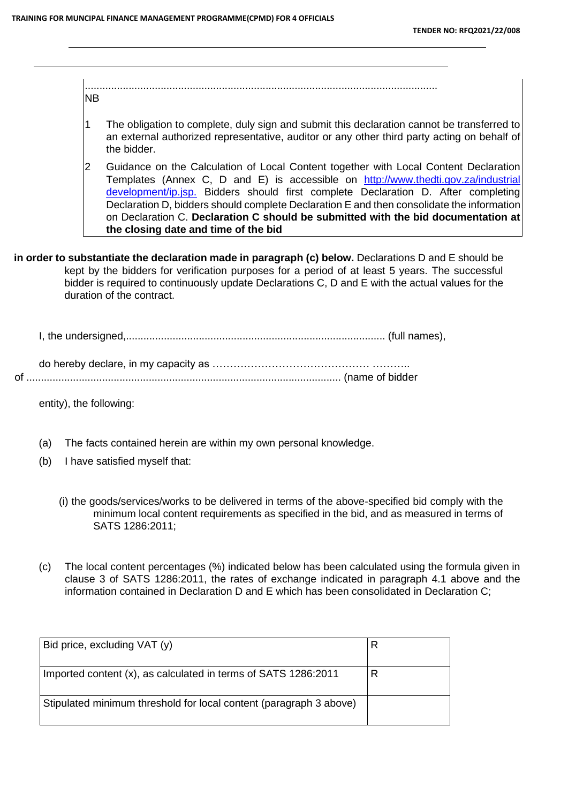......................................................................................................................... NB

- 1 The obligation to complete, duly sign and submit this declaration cannot be transferred to an external authorized representative, auditor or any other third party acting on behalf of the bidder.
- 2 Guidance on the Calculation of Local Content together with Local Content Declaration Templates (Annex C, D and E) is accessible on [http://www.thedti.gov.za/industrial](http://www.thedti.gov.za/industrial%20development/ip.jsp) [development/ip.jsp.](http://www.thedti.gov.za/industrial%20development/ip.jsp) [Bi](http://www.thedti.gov.za/industrial%20development/ip.jsp)dders should first complete Declaration D. After completing Declaration D, bidders should complete Declaration E and then consolidate the information on Declaration C. **Declaration C should be submitted with the bid documentation at the closing date and time of the bid**
- **in order to substantiate the declaration made in paragraph (c) below.** Declarations D and E should be kept by the bidders for verification purposes for a period of at least 5 years. The successful bidder is required to continuously update Declarations C, D and E with the actual values for the duration of the contract.

I, the undersigned,......................................................................................... (full names),

do hereby declare, in my capacity as ……………………………………… ………..

of ............................................................................................................ (name of bidder

entity), the following:

- (a) The facts contained herein are within my own personal knowledge.
- (b) I have satisfied myself that:
	- (i) the goods/services/works to be delivered in terms of the above-specified bid comply with the minimum local content requirements as specified in the bid, and as measured in terms of SATS 1286:2011;
- (c) The local content percentages (%) indicated below has been calculated using the formula given in clause 3 of SATS 1286:2011, the rates of exchange indicated in paragraph 4.1 above and the information contained in Declaration D and E which has been consolidated in Declaration C;

| Bid price, excluding VAT (y)                                       |  |
|--------------------------------------------------------------------|--|
| Imported content (x), as calculated in terms of SATS 1286:2011     |  |
| Stipulated minimum threshold for local content (paragraph 3 above) |  |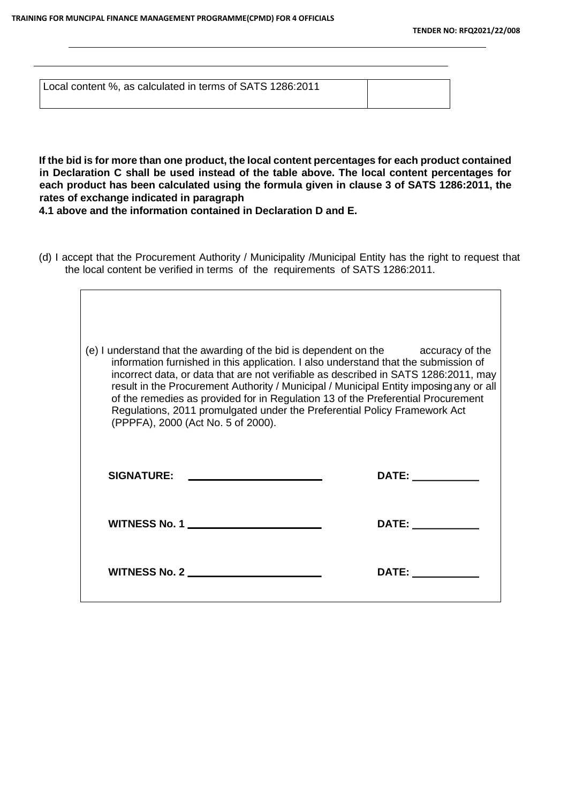| Local content %, as calculated in terms of SATS 1286:2011 |  |
|-----------------------------------------------------------|--|
|                                                           |  |

**If the bid is for more than one product, the local content percentages for each product contained in Declaration C shall be used instead of the table above. The local content percentages for each product has been calculated using the formula given in clause 3 of SATS 1286:2011, the rates of exchange indicated in paragraph** 

**4.1 above and the information contained in Declaration D and E.** 

 $\blacksquare$ 

(d) I accept that the Procurement Authority / Municipality /Municipal Entity has the right to request that the local content be verified in terms of the requirements of SATS 1286:2011.

| (e) I understand that the awarding of the bid is dependent on the accuracy of the<br>information furnished in this application. I also understand that the submission of<br>incorrect data, or data that are not verifiable as described in SATS 1286:2011, may<br>result in the Procurement Authority / Municipal / Municipal Entity imposing any or all<br>of the remedies as provided for in Regulation 13 of the Preferential Procurement<br>Regulations, 2011 promulgated under the Preferential Policy Framework Act<br>(PPPFA), 2000 (Act No. 5 of 2000). |                     |  |
|------------------------------------------------------------------------------------------------------------------------------------------------------------------------------------------------------------------------------------------------------------------------------------------------------------------------------------------------------------------------------------------------------------------------------------------------------------------------------------------------------------------------------------------------------------------|---------------------|--|
| SIGNATURE: New York SIGNATURE                                                                                                                                                                                                                                                                                                                                                                                                                                                                                                                                    |                     |  |
|                                                                                                                                                                                                                                                                                                                                                                                                                                                                                                                                                                  |                     |  |
|                                                                                                                                                                                                                                                                                                                                                                                                                                                                                                                                                                  | DATE: _____________ |  |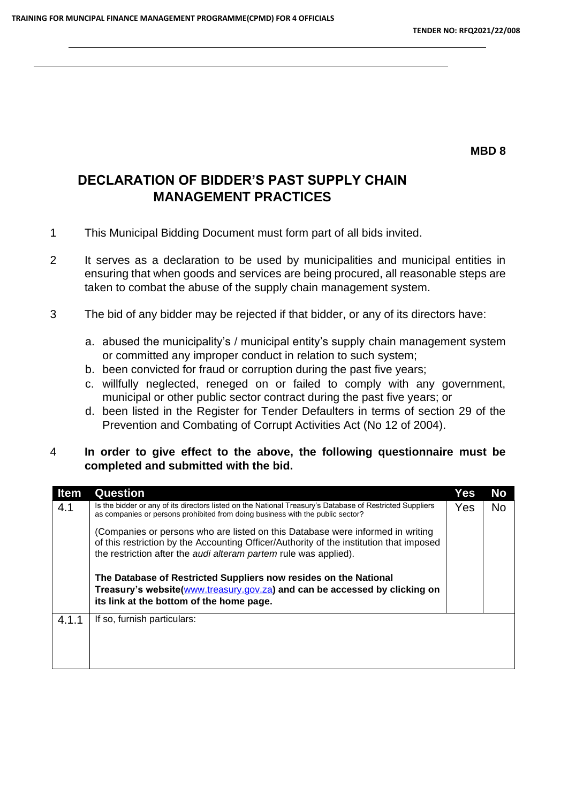#### **MBD 8**

# **DECLARATION OF BIDDER'S PAST SUPPLY CHAIN MANAGEMENT PRACTICES**

- 1 This Municipal Bidding Document must form part of all bids invited.
- 2 It serves as a declaration to be used by municipalities and municipal entities in ensuring that when goods and services are being procured, all reasonable steps are taken to combat the abuse of the supply chain management system.
- 3 The bid of any bidder may be rejected if that bidder, or any of its directors have:
	- a. abused the municipality's / municipal entity's supply chain management system or committed any improper conduct in relation to such system;
	- b. been convicted for fraud or corruption during the past five years;
	- c. willfully neglected, reneged on or failed to comply with any government, municipal or other public sector contract during the past five years; or
	- d. been listed in the Register for Tender Defaulters in terms of section 29 of the Prevention and Combating of Corrupt Activities Act (No 12 of 2004).
- 4 **In order to give effect to the above, the following questionnaire must be completed and submitted with the bid.**

| ltem  | <b>Question</b>                                                                                                                                                                                                                               | Yes        | No        |
|-------|-----------------------------------------------------------------------------------------------------------------------------------------------------------------------------------------------------------------------------------------------|------------|-----------|
| 4.1   | Is the bidder or any of its directors listed on the National Treasury's Database of Restricted Suppliers<br>as companies or persons prohibited from doing business with the public sector?                                                    | <b>Yes</b> | <b>No</b> |
|       | (Companies or persons who are listed on this Database were informed in writing<br>of this restriction by the Accounting Officer/Authority of the institution that imposed<br>the restriction after the audi alteram partem rule was applied). |            |           |
|       | The Database of Restricted Suppliers now resides on the National<br>Treasury's website(www.treasury.gov.za) and can be accessed by clicking on<br>its link at the bottom of the home page.                                                    |            |           |
| 4.1.1 | If so, furnish particulars:                                                                                                                                                                                                                   |            |           |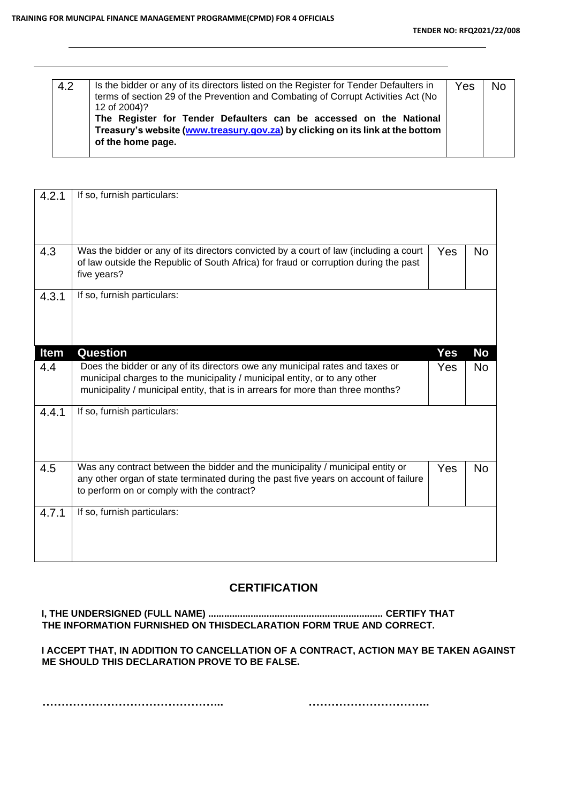| 4.2 | Is the bidder or any of its directors listed on the Register for Tender Defaulters in<br>terms of section 29 of the Prevention and Combating of Corrupt Activities Act (No<br>12 of 2004)?<br>The Register for Tender Defaulters can be accessed on the National<br>Treasury's website (www.treasury.gov.za) by clicking on its link at the bottom<br>of the home page. | Yes | No |
|-----|-------------------------------------------------------------------------------------------------------------------------------------------------------------------------------------------------------------------------------------------------------------------------------------------------------------------------------------------------------------------------|-----|----|
|-----|-------------------------------------------------------------------------------------------------------------------------------------------------------------------------------------------------------------------------------------------------------------------------------------------------------------------------------------------------------------------------|-----|----|

| 4.2.1 | If so, furnish particulars:                                                                                                                                                                                                                  |            |           |
|-------|----------------------------------------------------------------------------------------------------------------------------------------------------------------------------------------------------------------------------------------------|------------|-----------|
|       |                                                                                                                                                                                                                                              |            |           |
| 4.3   | Was the bidder or any of its directors convicted by a court of law (including a court<br>of law outside the Republic of South Africa) for fraud or corruption during the past<br>five years?                                                 | Yes        | <b>No</b> |
| 4.3.1 | If so, furnish particulars:                                                                                                                                                                                                                  |            |           |
| Item  | <b>Question</b>                                                                                                                                                                                                                              | <b>Yes</b> | <b>No</b> |
| 4.4   | Does the bidder or any of its directors owe any municipal rates and taxes or<br>municipal charges to the municipality / municipal entity, or to any other<br>municipality / municipal entity, that is in arrears for more than three months? | Yes        | <b>No</b> |
| 4.4.1 | If so, furnish particulars:                                                                                                                                                                                                                  |            |           |
| 4.5   | Was any contract between the bidder and the municipality / municipal entity or<br>any other organ of state terminated during the past five years on account of failure<br>to perform on or comply with the contract?                         | Yes        | <b>No</b> |
| 4.7.1 | If so, furnish particulars:                                                                                                                                                                                                                  |            |           |

# **CERTIFICATION**

**I, THE UNDERSIGNED (FULL NAME) .................................................................. CERTIFY THAT THE INFORMATION FURNISHED ON THISDECLARATION FORM TRUE AND CORRECT.** 

**I ACCEPT THAT, IN ADDITION TO CANCELLATION OF A CONTRACT, ACTION MAY BE TAKEN AGAINST ME SHOULD THIS DECLARATION PROVE TO BE FALSE.** 

**………………………………………... …………………………..**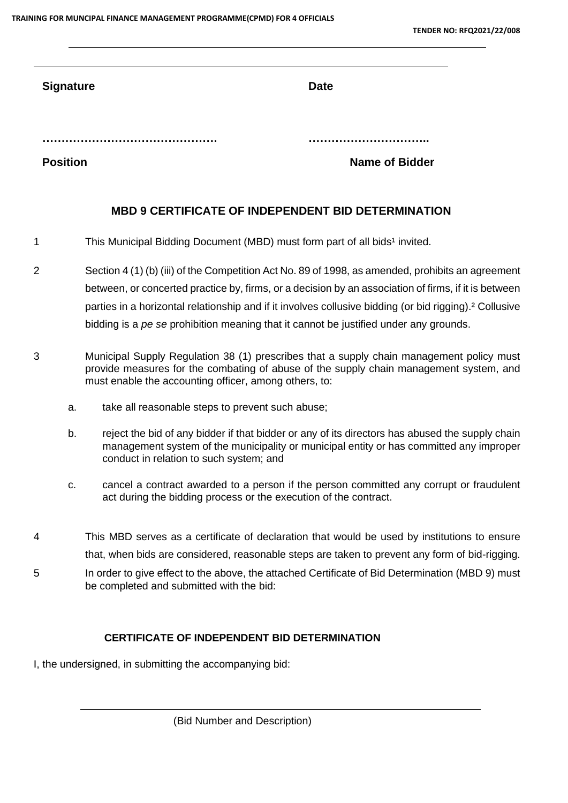| <b>Date</b>               |
|---------------------------|
| <br><b>Name of Bidder</b> |
|                           |

# **MBD 9 CERTIFICATE OF INDEPENDENT BID DETERMINATION**

- 1 This Municipal Bidding Document (MBD) must form part of all bids<sup>1</sup> invited.
- 2 Section 4 (1) (b) (iii) of the Competition Act No. 89 of 1998, as amended, prohibits an agreement between, or concerted practice by, firms, or a decision by an association of firms, if it is between parties in a horizontal relationship and if it involves collusive bidding (or bid rigging).² Collusive bidding is a *pe se* prohibition meaning that it cannot be justified under any grounds.
- 3 Municipal Supply Regulation 38 (1) prescribes that a supply chain management policy must provide measures for the combating of abuse of the supply chain management system, and must enable the accounting officer, among others, to:
	- a. take all reasonable steps to prevent such abuse;
	- b. reject the bid of any bidder if that bidder or any of its directors has abused the supply chain management system of the municipality or municipal entity or has committed any improper conduct in relation to such system; and
	- c. cancel a contract awarded to a person if the person committed any corrupt or fraudulent act during the bidding process or the execution of the contract.
- 4 This MBD serves as a certificate of declaration that would be used by institutions to ensure that, when bids are considered, reasonable steps are taken to prevent any form of bid-rigging.
- 5 In order to give effect to the above, the attached Certificate of Bid Determination (MBD 9) must be completed and submitted with the bid:

#### **CERTIFICATE OF INDEPENDENT BID DETERMINATION**

I, the undersigned, in submitting the accompanying bid: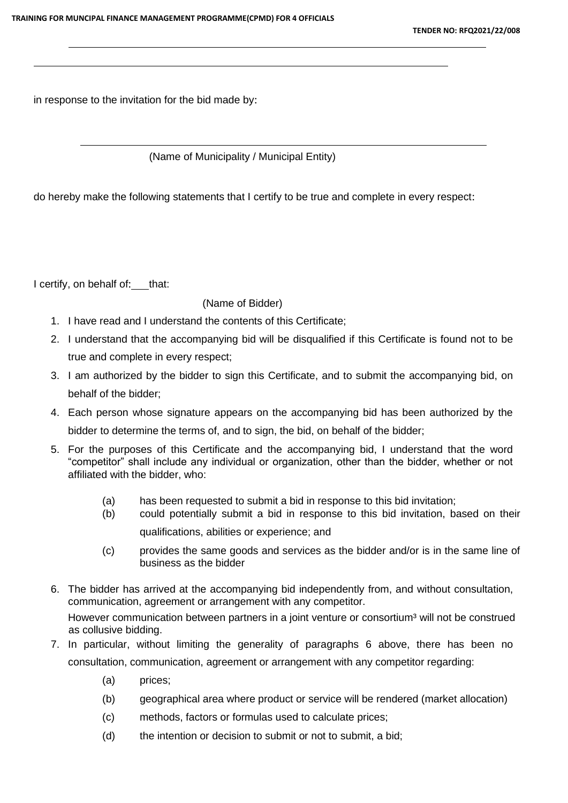in response to the invitation for the bid made by:

(Name of Municipality / Municipal Entity)

do hereby make the following statements that I certify to be true and complete in every respect:

I certify, on behalf of:  $t$  that:

# (Name of Bidder)

- 1. I have read and I understand the contents of this Certificate;
- 2. I understand that the accompanying bid will be disqualified if this Certificate is found not to be true and complete in every respect;
- 3. I am authorized by the bidder to sign this Certificate, and to submit the accompanying bid, on behalf of the bidder;
- 4. Each person whose signature appears on the accompanying bid has been authorized by the bidder to determine the terms of, and to sign, the bid, on behalf of the bidder;
- 5. For the purposes of this Certificate and the accompanying bid, I understand that the word "competitor" shall include any individual or organization, other than the bidder, whether or not affiliated with the bidder, who:
	- (a) has been requested to submit a bid in response to this bid invitation;
	- (b) could potentially submit a bid in response to this bid invitation, based on their qualifications, abilities or experience; and
	- (c) provides the same goods and services as the bidder and/or is in the same line of business as the bidder
- 6. The bidder has arrived at the accompanying bid independently from, and without consultation, communication, agreement or arrangement with any competitor. However communication between partners in a joint venture or consortium<sup>3</sup> will not be construed
- as collusive bidding. 7. In particular, without limiting the generality of paragraphs 6 above, there has been no consultation, communication, agreement or arrangement with any competitor regarding:
	- (a) prices;
	- (b) geographical area where product or service will be rendered (market allocation)
	- (c) methods, factors or formulas used to calculate prices;
	- (d) the intention or decision to submit or not to submit, a bid;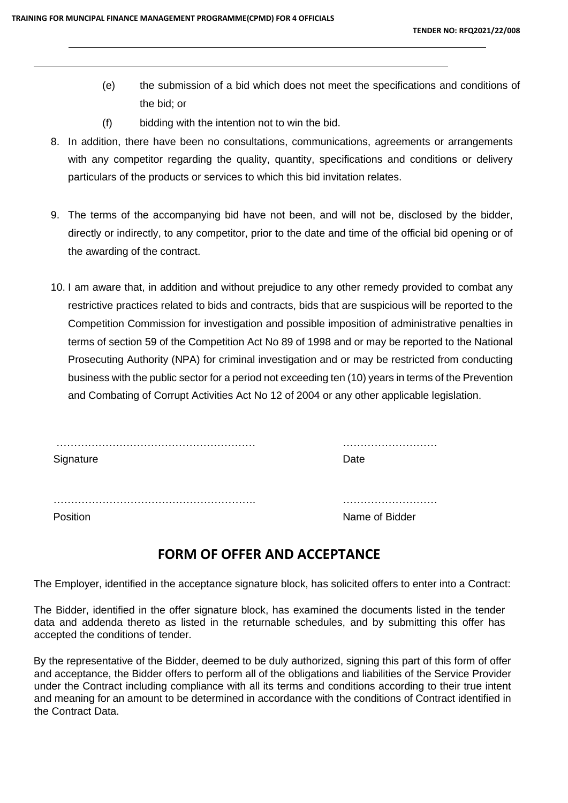- (e) the submission of a bid which does not meet the specifications and conditions of the bid; or
- (f) bidding with the intention not to win the bid.
- 8. In addition, there have been no consultations, communications, agreements or arrangements with any competitor regarding the quality, quantity, specifications and conditions or delivery particulars of the products or services to which this bid invitation relates.
- 9. The terms of the accompanying bid have not been, and will not be, disclosed by the bidder, directly or indirectly, to any competitor, prior to the date and time of the official bid opening or of the awarding of the contract.
- 10. I am aware that, in addition and without prejudice to any other remedy provided to combat any restrictive practices related to bids and contracts, bids that are suspicious will be reported to the Competition Commission for investigation and possible imposition of administrative penalties in terms of section 59 of the Competition Act No 89 of 1998 and or may be reported to the National Prosecuting Authority (NPA) for criminal investigation and or may be restricted from conducting business with the public sector for a period not exceeding ten (10) years in terms of the Prevention and Combating of Corrupt Activities Act No 12 of 2004 or any other applicable legislation.

| Signature | Date           |
|-----------|----------------|
|           |                |
| Position  | Name of Bidder |

# **FORM OF OFFER AND ACCEPTANCE**

The Employer, identified in the acceptance signature block, has solicited offers to enter into a Contract:

The Bidder, identified in the offer signature block, has examined the documents listed in the tender data and addenda thereto as listed in the returnable schedules, and by submitting this offer has accepted the conditions of tender.

By the representative of the Bidder, deemed to be duly authorized, signing this part of this form of offer and acceptance, the Bidder offers to perform all of the obligations and liabilities of the Service Provider under the Contract including compliance with all its terms and conditions according to their true intent and meaning for an amount to be determined in accordance with the conditions of Contract identified in the Contract Data.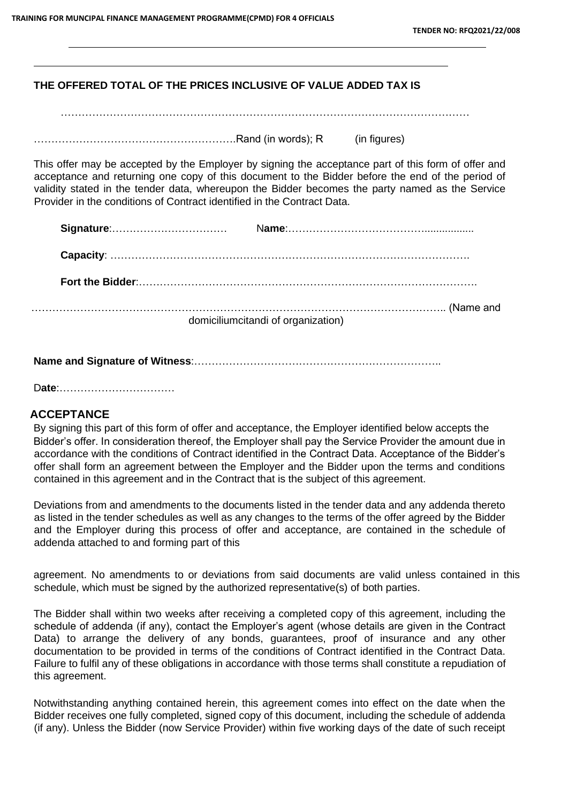# **THE OFFERED TOTAL OF THE PRICES INCLUSIVE OF VALUE ADDED TAX IS**

………………………………………………….Rand (in words); R (in figures)

This offer may be accepted by the Employer by signing the acceptance part of this form of offer and acceptance and returning one copy of this document to the Bidder before the end of the period of validity stated in the tender data, whereupon the Bidder becomes the party named as the Service Provider in the conditions of Contract identified in the Contract Data.

|  | domiciliumcitandi of organization) |
|--|------------------------------------|

**Name and Signature of Witness**:……………………………………………………………..

D**ate**:……………………………

# **ACCEPTANCE**

By signing this part of this form of offer and acceptance, the Employer identified below accepts the Bidder's offer. In consideration thereof, the Employer shall pay the Service Provider the amount due in accordance with the conditions of Contract identified in the Contract Data. Acceptance of the Bidder's offer shall form an agreement between the Employer and the Bidder upon the terms and conditions contained in this agreement and in the Contract that is the subject of this agreement.

Deviations from and amendments to the documents listed in the tender data and any addenda thereto as listed in the tender schedules as well as any changes to the terms of the offer agreed by the Bidder and the Employer during this process of offer and acceptance, are contained in the schedule of addenda attached to and forming part of this

agreement. No amendments to or deviations from said documents are valid unless contained in this schedule, which must be signed by the authorized representative(s) of both parties.

The Bidder shall within two weeks after receiving a completed copy of this agreement, including the schedule of addenda (if any), contact the Employer's agent (whose details are given in the Contract Data) to arrange the delivery of any bonds, guarantees, proof of insurance and any other documentation to be provided in terms of the conditions of Contract identified in the Contract Data. Failure to fulfil any of these obligations in accordance with those terms shall constitute a repudiation of this agreement.

Notwithstanding anything contained herein, this agreement comes into effect on the date when the Bidder receives one fully completed, signed copy of this document, including the schedule of addenda (if any). Unless the Bidder (now Service Provider) within five working days of the date of such receipt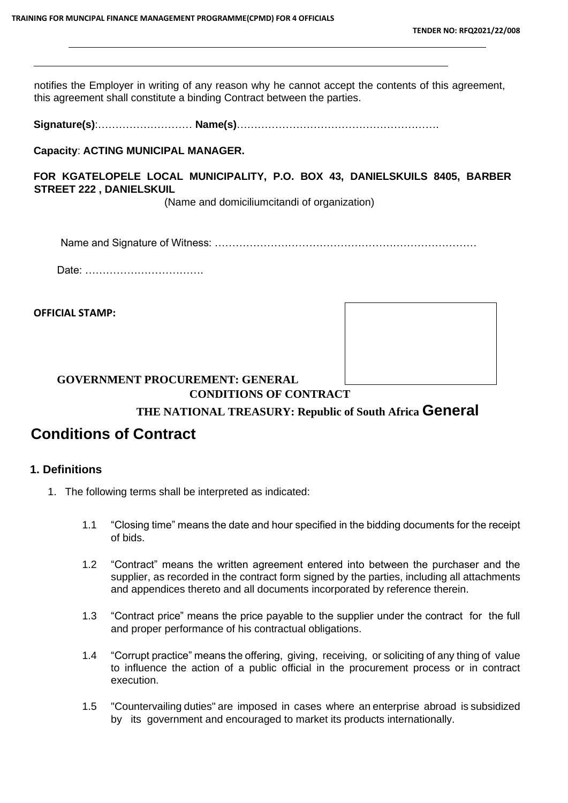notifies the Employer in writing of any reason why he cannot accept the contents of this agreement, this agreement shall constitute a binding Contract between the parties.

**Signature(s)**:……………………… **Name(s)**………………………………………………….

**Capacity**: **ACTING MUNICIPAL MANAGER.** 

**FOR KGATELOPELE LOCAL MUNICIPALITY, P.O. BOX 43, DANIELSKUILS 8405, BARBER STREET 222 , DANIELSKUIL** 

(Name and domiciliumcitandi of organization)

Name and Signature of Witness: …………………………………………………………………

Date: …………………………….

**OFFICIAL STAMP:** 



# **GOVERNMENT PROCUREMENT: GENERAL CONDITIONS OF CONTRACT**

# **THE NATIONAL TREASURY: Republic of South Africa General**

# **Conditions of Contract**

# **1. Definitions**

- 1. The following terms shall be interpreted as indicated:
	- 1.1 "Closing time" means the date and hour specified in the bidding documents for the receipt of bids.
	- 1.2 "Contract" means the written agreement entered into between the purchaser and the supplier, as recorded in the contract form signed by the parties, including all attachments and appendices thereto and all documents incorporated by reference therein.
	- 1.3 "Contract price" means the price payable to the supplier under the contract for the full and proper performance of his contractual obligations.
	- 1.4 "Corrupt practice" means the offering, giving, receiving, or soliciting of any thing of value to influence the action of a public official in the procurement process or in contract execution.
	- 1.5 "Countervailing duties" are imposed in cases where an enterprise abroad is subsidized by its government and encouraged to market its products internationally.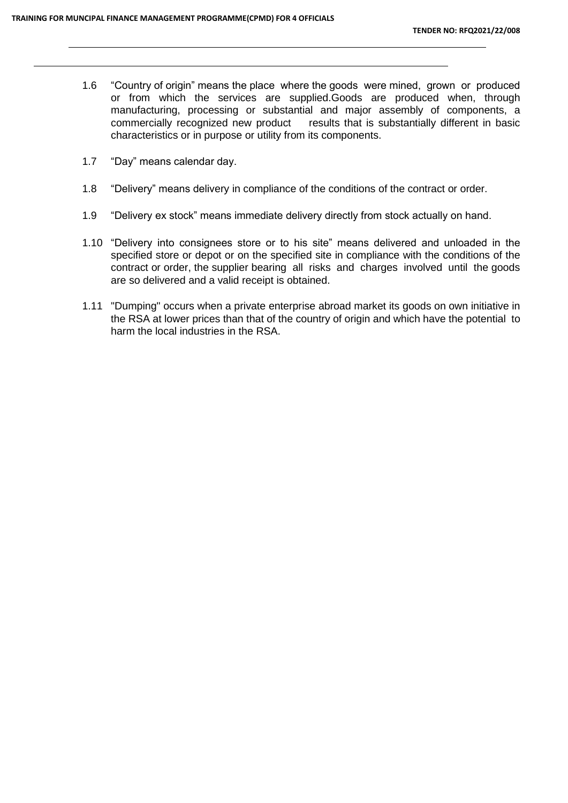- 1.6 "Country of origin" means the place where the goods were mined, grown or produced or from which the services are supplied.Goods are produced when, through manufacturing, processing or substantial and major assembly of components, a commercially recognized new product results that is substantially different in basic characteristics or in purpose or utility from its components.
- 1.7 "Day" means calendar day.
- 1.8 "Delivery" means delivery in compliance of the conditions of the contract or order.
- 1.9 "Delivery ex stock" means immediate delivery directly from stock actually on hand.
- 1.10 "Delivery into consignees store or to his site" means delivered and unloaded in the specified store or depot or on the specified site in compliance with the conditions of the contract or order, the supplier bearing all risks and charges involved until the goods are so delivered and a valid receipt is obtained.
- 1.11 "Dumping" occurs when a private enterprise abroad market its goods on own initiative in the RSA at lower prices than that of the country of origin and which have the potential to harm the local industries in the RSA.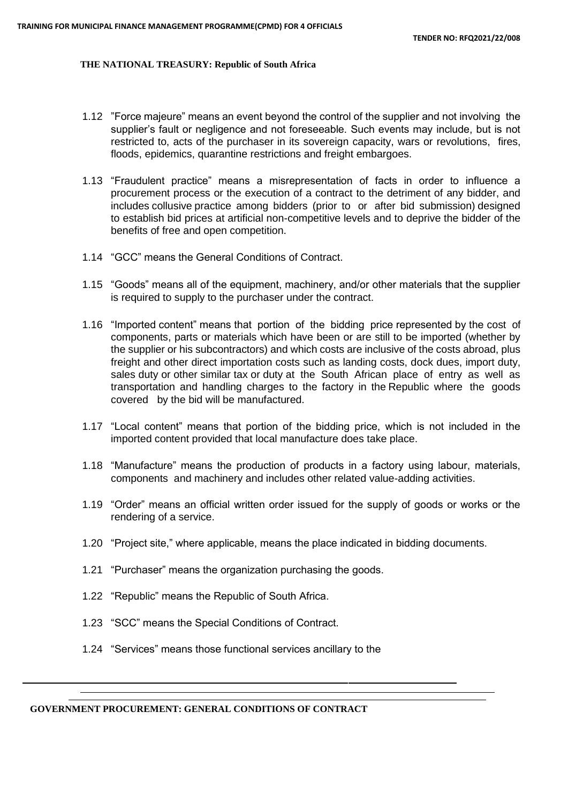#### **THE NATIONAL TREASURY: Republic of South Africa**

- 1.12 "Force majeure" means an event beyond the control of the supplier and not involving the supplier's fault or negligence and not foreseeable. Such events may include, but is not restricted to, acts of the purchaser in its sovereign capacity, wars or revolutions, fires, floods, epidemics, quarantine restrictions and freight embargoes.
- 1.13 "Fraudulent practice" means a misrepresentation of facts in order to influence a procurement process or the execution of a contract to the detriment of any bidder, and includes collusive practice among bidders (prior to or after bid submission) designed to establish bid prices at artificial non-competitive levels and to deprive the bidder of the benefits of free and open competition.
- 1.14 "GCC" means the General Conditions of Contract.
- 1.15 "Goods" means all of the equipment, machinery, and/or other materials that the supplier is required to supply to the purchaser under the contract.
- 1.16 "Imported content" means that portion of the bidding price represented by the cost of components, parts or materials which have been or are still to be imported (whether by the supplier or his subcontractors) and which costs are inclusive of the costs abroad, plus freight and other direct importation costs such as landing costs, dock dues, import duty, sales duty or other similar tax or duty at the South African place of entry as well as transportation and handling charges to the factory in the Republic where the goods covered by the bid will be manufactured.
- 1.17 "Local content" means that portion of the bidding price, which is not included in the imported content provided that local manufacture does take place.
- 1.18 "Manufacture" means the production of products in a factory using labour, materials, components and machinery and includes other related value-adding activities.
- 1.19 "Order" means an official written order issued for the supply of goods or works or the rendering of a service.
- 1.20 "Project site," where applicable, means the place indicated in bidding documents.
- 1.21 "Purchaser" means the organization purchasing the goods.
- 1.22 "Republic" means the Republic of South Africa.
- 1.23 "SCC" means the Special Conditions of Contract.
- 1.24 "Services" means those functional services ancillary to the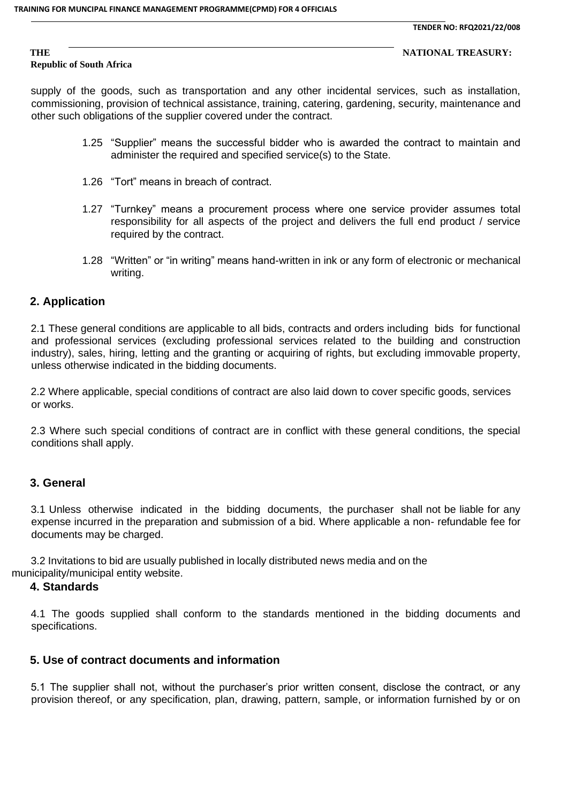#### **THE** THE THE THE THE NATIONAL TREASURY:

#### **Republic of South Africa**

supply of the goods, such as transportation and any other incidental services, such as installation, commissioning, provision of technical assistance, training, catering, gardening, security, maintenance and other such obligations of the supplier covered under the contract.

- 1.25 "Supplier" means the successful bidder who is awarded the contract to maintain and administer the required and specified service(s) to the State.
- 1.26 "Tort" means in breach of contract.
- 1.27 "Turnkey" means a procurement process where one service provider assumes total responsibility for all aspects of the project and delivers the full end product / service required by the contract.
- 1.28 "Written" or "in writing" means hand-written in ink or any form of electronic or mechanical writing.

# **2. Application**

2.1 These general conditions are applicable to all bids, contracts and orders including bids for functional and professional services (excluding professional services related to the building and construction industry), sales, hiring, letting and the granting or acquiring of rights, but excluding immovable property, unless otherwise indicated in the bidding documents.

2.2 Where applicable, special conditions of contract are also laid down to cover specific goods, services or works.

2.3 Where such special conditions of contract are in conflict with these general conditions, the special conditions shall apply.

# **3. General**

3.1 Unless otherwise indicated in the bidding documents, the purchaser shall not be liable for any expense incurred in the preparation and submission of a bid. Where applicable a non- refundable fee for documents may be charged.

3.2 Invitations to bid are usually published in locally distributed news media and on the municipality/municipal entity website.

### **4. Standards**

4.1 The goods supplied shall conform to the standards mentioned in the bidding documents and specifications.

#### **5. Use of contract documents and information**

5.1 The supplier shall not, without the purchaser's prior written consent, disclose the contract, or any provision thereof, or any specification, plan, drawing, pattern, sample, or information furnished by or on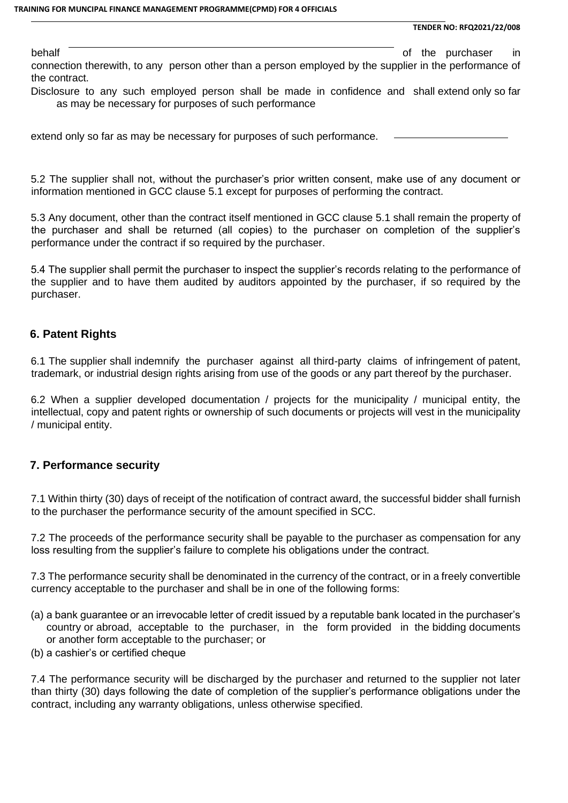**TENDER NO: RFQ2021/22/008**

behalf **behalf** of the purchaser in connection therewith, to any person other than a person employed by the supplier in the performance of the contract.

Disclosure to any such employed person shall be made in confidence and shall extend only so far as may be necessary for purposes of such performance

extend only so far as may be necessary for purposes of such performance.

5.2 The supplier shall not, without the purchaser's prior written consent, make use of any document or information mentioned in GCC clause 5.1 except for purposes of performing the contract.

5.3 Any document, other than the contract itself mentioned in GCC clause 5.1 shall remain the property of the purchaser and shall be returned (all copies) to the purchaser on completion of the supplier's performance under the contract if so required by the purchaser.

5.4 The supplier shall permit the purchaser to inspect the supplier's records relating to the performance of the supplier and to have them audited by auditors appointed by the purchaser, if so required by the purchaser.

# **6. Patent Rights**

6.1 The supplier shall indemnify the purchaser against all third-party claims of infringement of patent, trademark, or industrial design rights arising from use of the goods or any part thereof by the purchaser.

6.2 When a supplier developed documentation / projects for the municipality / municipal entity, the intellectual, copy and patent rights or ownership of such documents or projects will vest in the municipality / municipal entity.

# **7. Performance security**

7.1 Within thirty (30) days of receipt of the notification of contract award, the successful bidder shall furnish to the purchaser the performance security of the amount specified in SCC.

7.2 The proceeds of the performance security shall be payable to the purchaser as compensation for any loss resulting from the supplier's failure to complete his obligations under the contract.

7.3 The performance security shall be denominated in the currency of the contract, or in a freely convertible currency acceptable to the purchaser and shall be in one of the following forms:

- (a) a bank guarantee or an irrevocable letter of credit issued by a reputable bank located in the purchaser's country or abroad, acceptable to the purchaser, in the form provided in the bidding documents or another form acceptable to the purchaser; or
- (b) a cashier's or certified cheque

7.4 The performance security will be discharged by the purchaser and returned to the supplier not later than thirty (30) days following the date of completion of the supplier's performance obligations under the contract, including any warranty obligations, unless otherwise specified.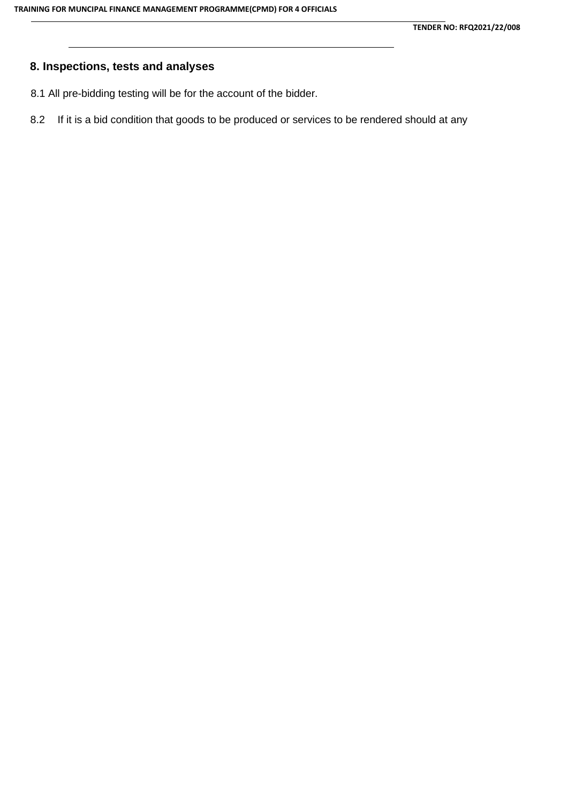# **8. Inspections, tests and analyses**

8.1 All pre-bidding testing will be for the account of the bidder.

8.2 If it is a bid condition that goods to be produced or services to be rendered should at any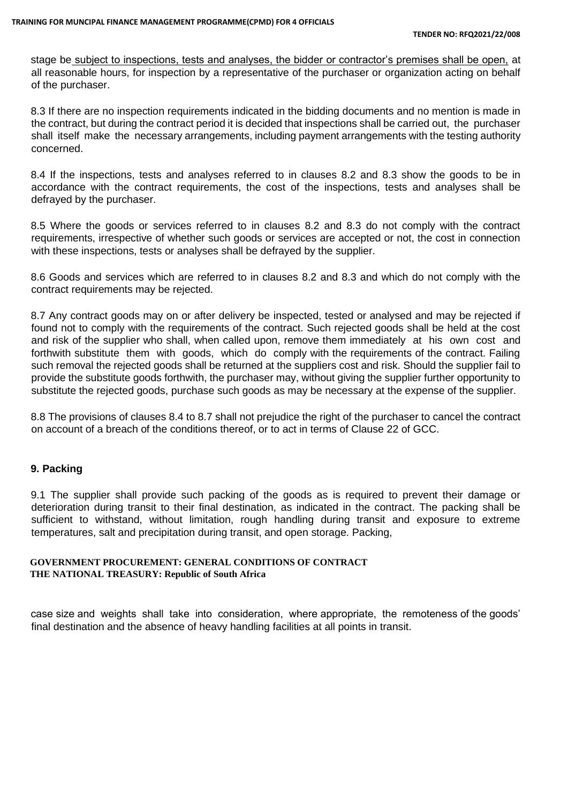stage be subject to inspections, tests and analyses, the bidder or contractor's premises shall be open, at all reasonable hours, for inspection by a representative of the purchaser or organization acting on behalf of the purchaser.

8.3 If there are no inspection requirements indicated in the bidding documents and no mention is made in the contract, but during the contract period it is decided that inspections shall be carried out, the purchaser shall itself make the necessary arrangements, including payment arrangements with the testing authority concerned.

8.4 If the inspections, tests and analyses referred to in clauses 8.2 and 8.3 show the goods to be in accordance with the contract requirements, the cost of the inspections, tests and analyses shall be defrayed by the purchaser.

8.5 Where the goods or services referred to in clauses 8.2 and 8.3 do not comply with the contract requirements, irrespective of whether such goods or services are accepted or not, the cost in connection with these inspections, tests or analyses shall be defrayed by the supplier.

8.6 Goods and services which are referred to in clauses 8.2 and 8.3 and which do not comply with the contract requirements may be rejected.

8.7 Any contract goods may on or after delivery be inspected, tested or analysed and may be rejected if found not to comply with the requirements of the contract. Such rejected goods shall be held at the cost and risk of the supplier who shall, when called upon, remove them immediately at his own cost and forthwith substitute them with goods, which do comply with the requirements of the contract. Failing such removal the rejected goods shall be returned at the suppliers cost and risk. Should the supplier fail to provide the substitute goods forthwith, the purchaser may, without giving the supplier further opportunity to substitute the rejected goods, purchase such goods as may be necessary at the expense of the supplier.

8.8 The provisions of clauses 8.4 to 8.7 shall not prejudice the right of the purchaser to cancel the contract on account of a breach of the conditions thereof, or to act in terms of Clause 22 of GCC.

# **9. Packing**

9.1 The supplier shall provide such packing of the goods as is required to prevent their damage or deterioration during transit to their final destination, as indicated in the contract. The packing shall be sufficient to withstand, without limitation, rough handling during transit and exposure to extreme temperatures, salt and precipitation during transit, and open storage. Packing,

#### **GOVERNMENT PROCUREMENT: GENERAL CONDITIONS OF CONTRACT THE NATIONAL TREASURY: Republic of South Africa**

case size and weights shall take into consideration, where appropriate, the remoteness of the goods' final destination and the absence of heavy handling facilities at all points in transit.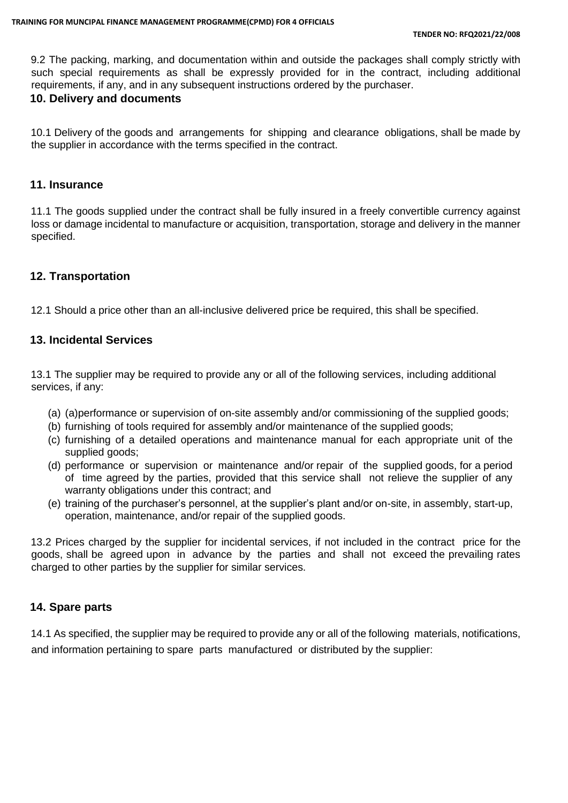9.2 The packing, marking, and documentation within and outside the packages shall comply strictly with such special requirements as shall be expressly provided for in the contract, including additional requirements, if any, and in any subsequent instructions ordered by the purchaser.

### **10. Delivery and documents**

10.1 Delivery of the goods and arrangements for shipping and clearance obligations, shall be made by the supplier in accordance with the terms specified in the contract.

### **11. Insurance**

11.1 The goods supplied under the contract shall be fully insured in a freely convertible currency against loss or damage incidental to manufacture or acquisition, transportation, storage and delivery in the manner specified.

# **12. Transportation**

12.1 Should a price other than an all-inclusive delivered price be required, this shall be specified.

# **13. Incidental Services**

13.1 The supplier may be required to provide any or all of the following services, including additional services, if any:

- (a) (a)performance or supervision of on-site assembly and/or commissioning of the supplied goods;
- (b) furnishing of tools required for assembly and/or maintenance of the supplied goods;
- (c) furnishing of a detailed operations and maintenance manual for each appropriate unit of the supplied goods;
- (d) performance or supervision or maintenance and/or repair of the supplied goods, for a period of time agreed by the parties, provided that this service shall not relieve the supplier of any warranty obligations under this contract; and
- (e) training of the purchaser's personnel, at the supplier's plant and/or on-site, in assembly, start-up, operation, maintenance, and/or repair of the supplied goods.

13.2 Prices charged by the supplier for incidental services, if not included in the contract price for the goods, shall be agreed upon in advance by the parties and shall not exceed the prevailing rates charged to other parties by the supplier for similar services.

# **14. Spare parts**

14.1 As specified, the supplier may be required to provide any or all of the following materials, notifications, and information pertaining to spare parts manufactured or distributed by the supplier: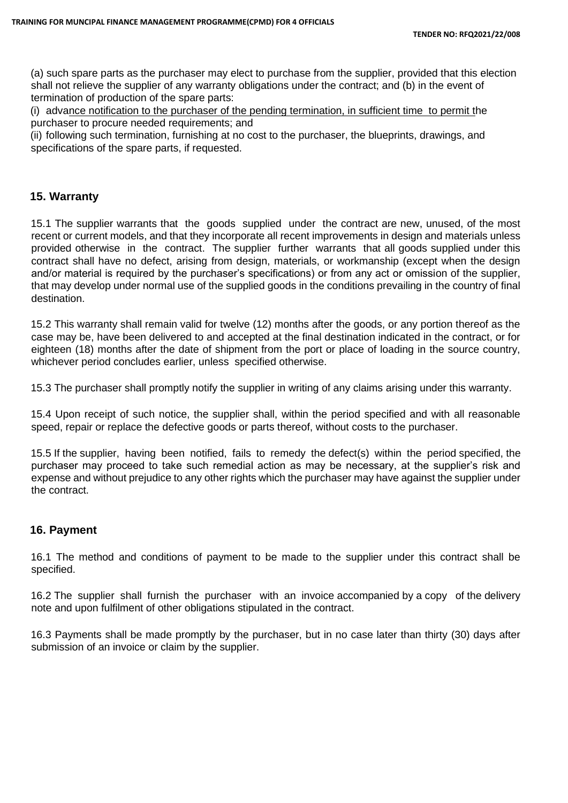(a) such spare parts as the purchaser may elect to purchase from the supplier, provided that this election shall not relieve the supplier of any warranty obligations under the contract; and (b) in the event of termination of production of the spare parts:

(i) advance notification to the purchaser of the pending termination, in sufficient time to permit the purchaser to procure needed requirements; and

(ii) following such termination, furnishing at no cost to the purchaser, the blueprints, drawings, and specifications of the spare parts, if requested.

### **15. Warranty**

15.1 The supplier warrants that the goods supplied under the contract are new, unused, of the most recent or current models, and that they incorporate all recent improvements in design and materials unless provided otherwise in the contract. The supplier further warrants that all goods supplied under this contract shall have no defect, arising from design, materials, or workmanship (except when the design and/or material is required by the purchaser's specifications) or from any act or omission of the supplier, that may develop under normal use of the supplied goods in the conditions prevailing in the country of final destination.

15.2 This warranty shall remain valid for twelve (12) months after the goods, or any portion thereof as the case may be, have been delivered to and accepted at the final destination indicated in the contract, or for eighteen (18) months after the date of shipment from the port or place of loading in the source country, whichever period concludes earlier, unless specified otherwise.

15.3 The purchaser shall promptly notify the supplier in writing of any claims arising under this warranty.

15.4 Upon receipt of such notice, the supplier shall, within the period specified and with all reasonable speed, repair or replace the defective goods or parts thereof, without costs to the purchaser.

15.5 If the supplier, having been notified, fails to remedy the defect(s) within the period specified, the purchaser may proceed to take such remedial action as may be necessary, at the supplier's risk and expense and without prejudice to any other rights which the purchaser may have against the supplier under the contract.

# **16. Payment**

16.1 The method and conditions of payment to be made to the supplier under this contract shall be specified.

16.2 The supplier shall furnish the purchaser with an invoice accompanied by a copy of the delivery note and upon fulfilment of other obligations stipulated in the contract.

16.3 Payments shall be made promptly by the purchaser, but in no case later than thirty (30) days after submission of an invoice or claim by the supplier.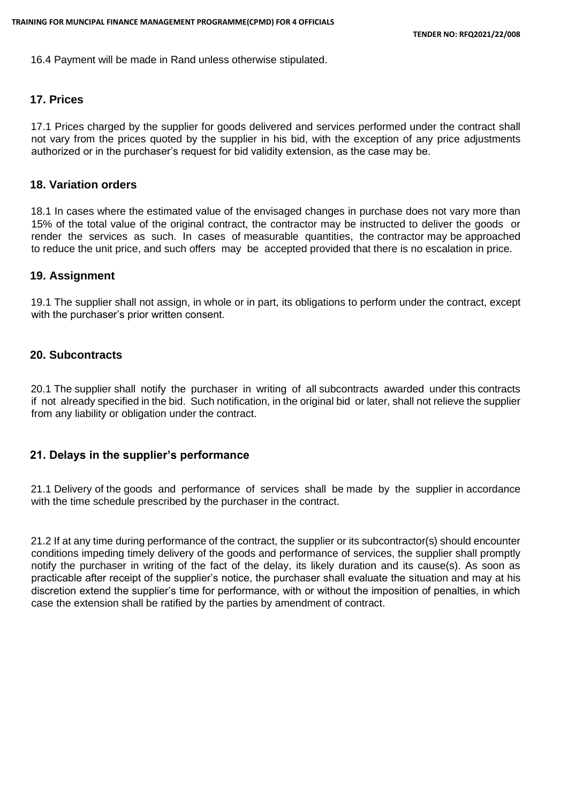16.4 Payment will be made in Rand unless otherwise stipulated.

# **17. Prices**

17.1 Prices charged by the supplier for goods delivered and services performed under the contract shall not vary from the prices quoted by the supplier in his bid, with the exception of any price adjustments authorized or in the purchaser's request for bid validity extension, as the case may be.

### **18. Variation orders**

18.1 In cases where the estimated value of the envisaged changes in purchase does not vary more than 15% of the total value of the original contract, the contractor may be instructed to deliver the goods or render the services as such. In cases of measurable quantities, the contractor may be approached to reduce the unit price, and such offers may be accepted provided that there is no escalation in price.

### **19. Assignment**

19.1 The supplier shall not assign, in whole or in part, its obligations to perform under the contract, except with the purchaser's prior written consent.

### **20. Subcontracts**

20.1 The supplier shall notify the purchaser in writing of all subcontracts awarded under this contracts if not already specified in the bid. Such notification, in the original bid or later, shall not relieve the supplier from any liability or obligation under the contract.

# **21. Delays in the supplier's performance**

21.1 Delivery of the goods and performance of services shall be made by the supplier in accordance with the time schedule prescribed by the purchaser in the contract.

21.2 If at any time during performance of the contract, the supplier or its subcontractor(s) should encounter conditions impeding timely delivery of the goods and performance of services, the supplier shall promptly notify the purchaser in writing of the fact of the delay, its likely duration and its cause(s). As soon as practicable after receipt of the supplier's notice, the purchaser shall evaluate the situation and may at his discretion extend the supplier's time for performance, with or without the imposition of penalties, in which case the extension shall be ratified by the parties by amendment of contract.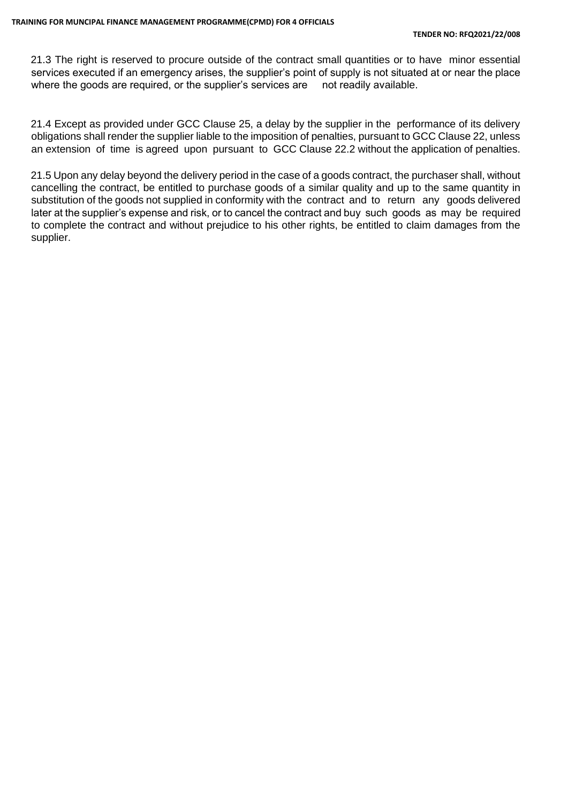21.3 The right is reserved to procure outside of the contract small quantities or to have minor essential services executed if an emergency arises, the supplier's point of supply is not situated at or near the place where the goods are required, or the supplier's services are not readily available.

21.4 Except as provided under GCC Clause 25, a delay by the supplier in the performance of its delivery obligations shall render the supplier liable to the imposition of penalties, pursuant to GCC Clause 22, unless an extension of time is agreed upon pursuant to GCC Clause 22.2 without the application of penalties.

21.5 Upon any delay beyond the delivery period in the case of a goods contract, the purchaser shall, without cancelling the contract, be entitled to purchase goods of a similar quality and up to the same quantity in substitution of the goods not supplied in conformity with the contract and to return any goods delivered later at the supplier's expense and risk, or to cancel the contract and buy such goods as may be required to complete the contract and without prejudice to his other rights, be entitled to claim damages from the supplier.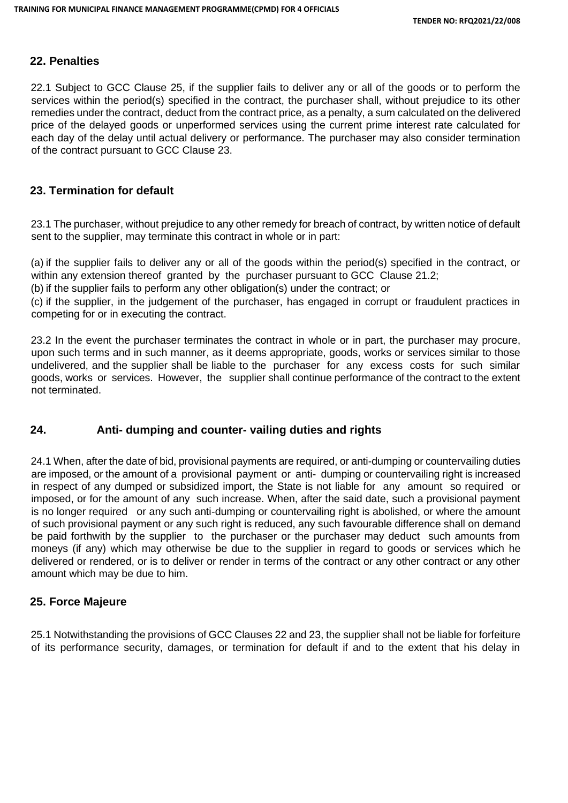### **22. Penalties**

22.1 Subject to GCC Clause 25, if the supplier fails to deliver any or all of the goods or to perform the services within the period(s) specified in the contract, the purchaser shall, without prejudice to its other remedies under the contract, deduct from the contract price, as a penalty, a sum calculated on the delivered price of the delayed goods or unperformed services using the current prime interest rate calculated for each day of the delay until actual delivery or performance. The purchaser may also consider termination of the contract pursuant to GCC Clause 23.

# **23. Termination for default**

23.1 The purchaser, without prejudice to any other remedy for breach of contract, by written notice of default sent to the supplier, may terminate this contract in whole or in part:

(a) if the supplier fails to deliver any or all of the goods within the period(s) specified in the contract, or within any extension thereof granted by the purchaser pursuant to GCC Clause 21.2;

(b) if the supplier fails to perform any other obligation(s) under the contract; or

(c) if the supplier, in the judgement of the purchaser, has engaged in corrupt or fraudulent practices in competing for or in executing the contract.

23.2 In the event the purchaser terminates the contract in whole or in part, the purchaser may procure, upon such terms and in such manner, as it deems appropriate, goods, works or services similar to those undelivered, and the supplier shall be liable to the purchaser for any excess costs for such similar goods, works or services. However, the supplier shall continue performance of the contract to the extent not terminated.

# **24. Anti- dumping and counter- vailing duties and rights**

24.1 When, after the date of bid, provisional payments are required, or anti-dumping or countervailing duties are imposed, or the amount of a provisional payment or anti- dumping or countervailing right is increased in respect of any dumped or subsidized import, the State is not liable for any amount so required or imposed, or for the amount of any such increase. When, after the said date, such a provisional payment is no longer required or any such anti-dumping or countervailing right is abolished, or where the amount of such provisional payment or any such right is reduced, any such favourable difference shall on demand be paid forthwith by the supplier to the purchaser or the purchaser may deduct such amounts from moneys (if any) which may otherwise be due to the supplier in regard to goods or services which he delivered or rendered, or is to deliver or render in terms of the contract or any other contract or any other amount which may be due to him.

# **25. Force Majeure**

25.1 Notwithstanding the provisions of GCC Clauses 22 and 23, the supplier shall not be liable for forfeiture of its performance security, damages, or termination for default if and to the extent that his delay in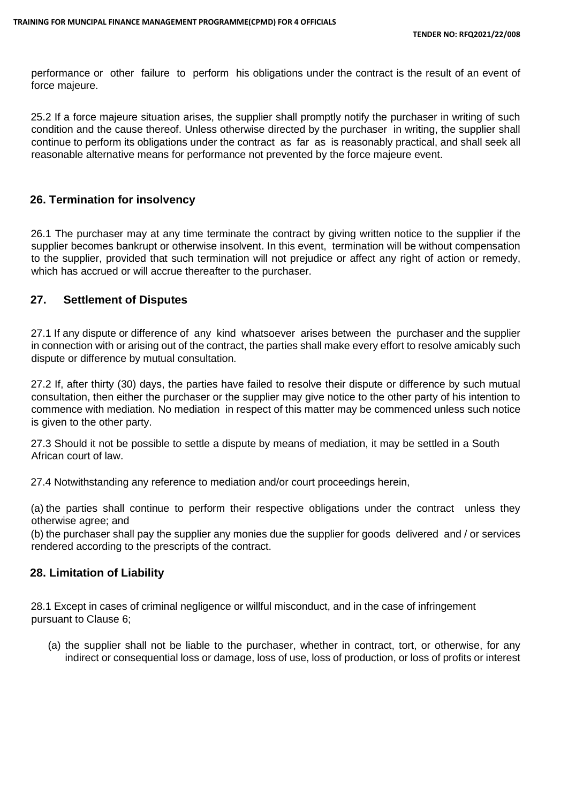performance or other failure to perform his obligations under the contract is the result of an event of force majeure.

25.2 If a force majeure situation arises, the supplier shall promptly notify the purchaser in writing of such condition and the cause thereof. Unless otherwise directed by the purchaser in writing, the supplier shall continue to perform its obligations under the contract as far as is reasonably practical, and shall seek all reasonable alternative means for performance not prevented by the force majeure event.

# **26. Termination for insolvency**

26.1 The purchaser may at any time terminate the contract by giving written notice to the supplier if the supplier becomes bankrupt or otherwise insolvent. In this event, termination will be without compensation to the supplier, provided that such termination will not prejudice or affect any right of action or remedy, which has accrued or will accrue thereafter to the purchaser.

# **27. Settlement of Disputes**

27.1 If any dispute or difference of any kind whatsoever arises between the purchaser and the supplier in connection with or arising out of the contract, the parties shall make every effort to resolve amicably such dispute or difference by mutual consultation.

27.2 If, after thirty (30) days, the parties have failed to resolve their dispute or difference by such mutual consultation, then either the purchaser or the supplier may give notice to the other party of his intention to commence with mediation. No mediation in respect of this matter may be commenced unless such notice is given to the other party.

27.3 Should it not be possible to settle a dispute by means of mediation, it may be settled in a South African court of law.

27.4 Notwithstanding any reference to mediation and/or court proceedings herein,

(a) the parties shall continue to perform their respective obligations under the contract unless they otherwise agree; and

(b) the purchaser shall pay the supplier any monies due the supplier for goods delivered and / or services rendered according to the prescripts of the contract.

# **28. Limitation of Liability**

28.1 Except in cases of criminal negligence or willful misconduct, and in the case of infringement pursuant to Clause 6;

(a) the supplier shall not be liable to the purchaser, whether in contract, tort, or otherwise, for any indirect or consequential loss or damage, loss of use, loss of production, or loss of profits or interest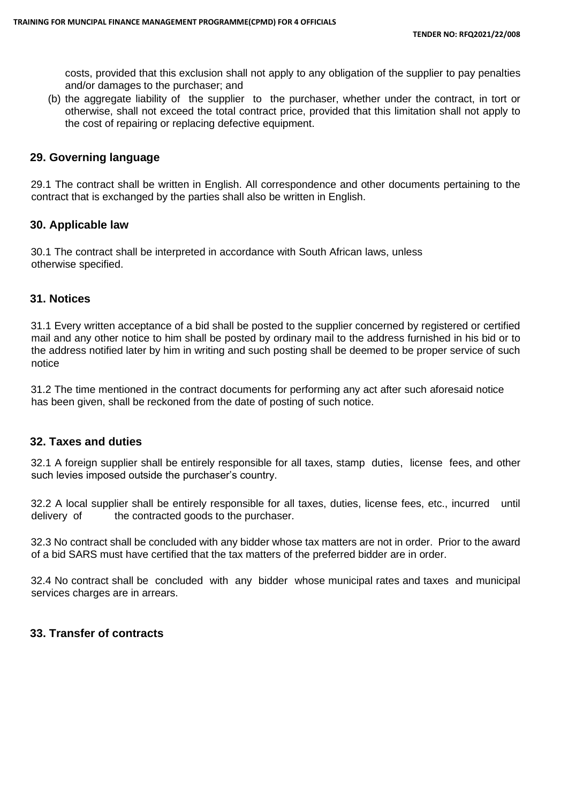costs, provided that this exclusion shall not apply to any obligation of the supplier to pay penalties and/or damages to the purchaser; and

(b) the aggregate liability of the supplier to the purchaser, whether under the contract, in tort or otherwise, shall not exceed the total contract price, provided that this limitation shall not apply to the cost of repairing or replacing defective equipment.

# **29. Governing language**

29.1 The contract shall be written in English. All correspondence and other documents pertaining to the contract that is exchanged by the parties shall also be written in English.

# **30. Applicable law**

30.1 The contract shall be interpreted in accordance with South African laws, unless otherwise specified.

# **31. Notices**

31.1 Every written acceptance of a bid shall be posted to the supplier concerned by registered or certified mail and any other notice to him shall be posted by ordinary mail to the address furnished in his bid or to the address notified later by him in writing and such posting shall be deemed to be proper service of such notice

31.2 The time mentioned in the contract documents for performing any act after such aforesaid notice has been given, shall be reckoned from the date of posting of such notice.

# **32. Taxes and duties**

32.1 A foreign supplier shall be entirely responsible for all taxes, stamp duties, license fees, and other such levies imposed outside the purchaser's country.

32.2 A local supplier shall be entirely responsible for all taxes, duties, license fees, etc., incurred until delivery of the contracted goods to the purchaser.

32.3 No contract shall be concluded with any bidder whose tax matters are not in order. Prior to the award of a bid SARS must have certified that the tax matters of the preferred bidder are in order.

32.4 No contract shall be concluded with any bidder whose municipal rates and taxes and municipal services charges are in arrears.

# **33. Transfer of contracts**